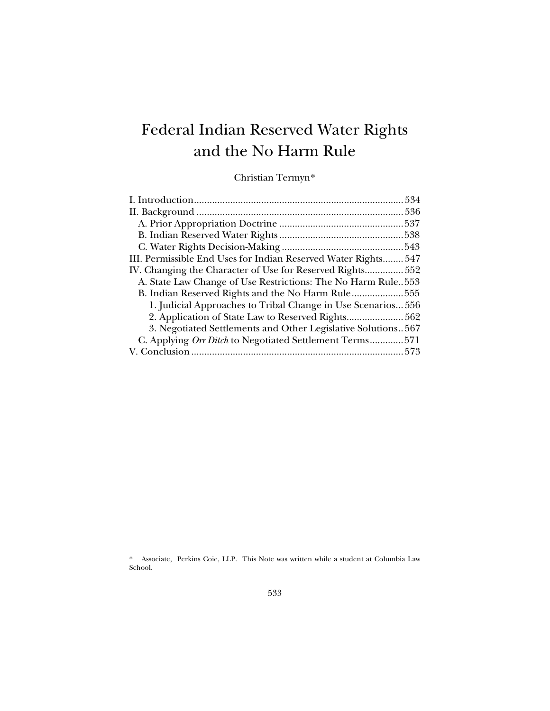# Federal Indian Reserved Water Rights and the No Harm Rule

Christian Termyn[\\*](#page-0-0)

| III. Permissible End Uses for Indian Reserved Water Rights 547 |  |
|----------------------------------------------------------------|--|
| IV. Changing the Character of Use for Reserved Rights552       |  |
| A. State Law Change of Use Restrictions: The No Harm Rule553   |  |
| B. Indian Reserved Rights and the No Harm Rule                 |  |
| 1. Judicial Approaches to Tribal Change in Use Scenarios 556   |  |
|                                                                |  |
| 3. Negotiated Settlements and Other Legislative Solutions567   |  |
| C. Applying Orr Ditch to Negotiated Settlement Terms571        |  |
|                                                                |  |

<span id="page-0-0"></span>\* Associate, Perkins Coie, LLP. This Note was written while a student at Columbia Law School.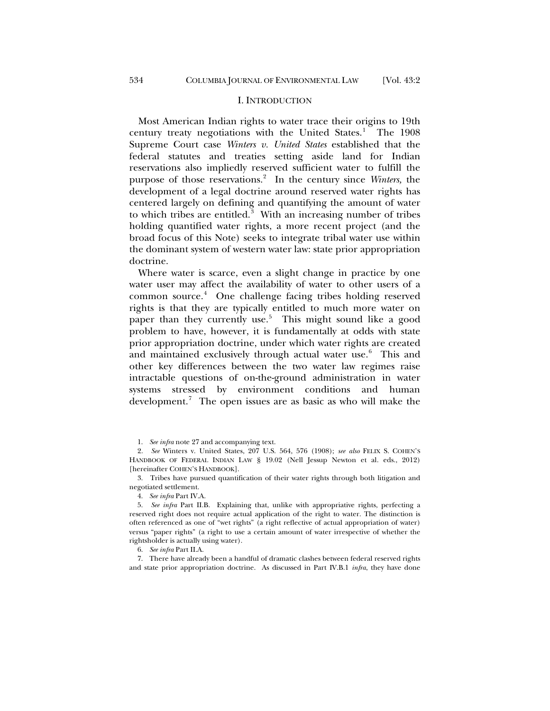#### <span id="page-1-7"></span>I. INTRODUCTION

Most American Indian rights to water trace their origins to 19th century treaty negotiations with the United States.<sup>[1](#page-1-0)</sup> The 1908 Supreme Court case *Winters v. United States* established that the federal statutes and treaties setting aside land for Indian reservations also impliedly reserved sufficient water to fulfill the purpose of those reservations.<sup>[2](#page-1-1)</sup> In the century since *Winters*, the development of a legal doctrine around reserved water rights has centered largely on defining and quantifying the amount of water to which tribes are entitled.<sup>[3](#page-1-2)</sup> With an increasing number of tribes holding quantified water rights, a more recent project (and the broad focus of this Note) seeks to integrate tribal water use within the dominant system of western water law: state prior appropriation doctrine.

<span id="page-1-8"></span>Where water is scarce, even a slight change in practice by one water user may affect the availability of water to other users of a common source.<sup>[4](#page-1-3)</sup> One challenge facing tribes holding reserved rights is that they are typically entitled to much more water on paper than they currently use.<sup>5</sup> This might sound like a good problem to have, however, it is fundamentally at odds with state prior appropriation doctrine, under which water rights are created and maintained exclusively through actual water use.<sup>[6](#page-1-5)</sup> This and other key differences between the two water law regimes raise intractable questions of on-the-ground administration in water systems stressed by environment conditions and human development.<sup>[7](#page-1-6)</sup> The open issues are as basic as who will make the

1. *See infra* not[e 27](#page-6-0) and accompanying text.

<span id="page-1-1"></span><span id="page-1-0"></span>2. *See* Winters v. United States, 207 U.S. 564, 576 (1908); *see also* FELIX S. COHEN'S HANDBOOK OF FEDERAL INDIAN LAW § 19.02 (Nell Jessup Newton et al. eds., 2012) [hereinafter COHEN'S HANDBOOK].

<span id="page-1-2"></span>3. Tribes have pursued quantification of their water rights through both litigation and negotiated settlement.

4. *See infra* Part IV.A.

6. *See infra* Part II.A.

<span id="page-1-6"></span><span id="page-1-5"></span>7. There have already been a handful of dramatic clashes between federal reserved rights and state prior appropriation doctrine. As discussed in Part IV.B.1 *infra*, they have done

<span id="page-1-4"></span><span id="page-1-3"></span><sup>5.</sup> *See infra* Part II.B. Explaining that, unlike with appropriative rights, perfecting a reserved right does not require actual application of the right to water. The distinction is often referenced as one of "wet rights" (a right reflective of actual appropriation of water) versus "paper rights" (a right to use a certain amount of water irrespective of whether the rightsholder is actually using water).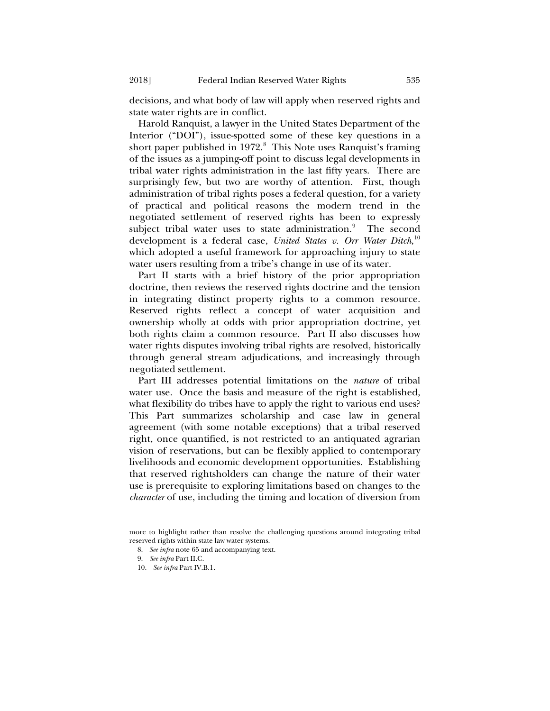decisions, and what body of law will apply when reserved rights and state water rights are in conflict.

Harold Ranquist, a lawyer in the United States Department of the Interior ("DOI"), issue-spotted some of these key questions in a short paper published in 1972.<sup>[8](#page-2-0)</sup> This Note uses Ranquist's framing of the issues as a jumping-off point to discuss legal developments in tribal water rights administration in the last fifty years. There are surprisingly few, but two are worthy of attention. First, though administration of tribal rights poses a federal question, for a variety of practical and political reasons the modern trend in the negotiated settlement of reserved rights has been to expressly subject tribal water uses to state administration.<sup>[9](#page-2-1)</sup> The second development is a federal case, *United States v. Orr Water Ditch*, [10](#page-2-2) which adopted a useful framework for approaching injury to state water users resulting from a tribe's change in use of its water.

Part II starts with a brief history of the prior appropriation doctrine, then reviews the reserved rights doctrine and the tension in integrating distinct property rights to a common resource. Reserved rights reflect a concept of water acquisition and ownership wholly at odds with prior appropriation doctrine, yet both rights claim a common resource. Part II also discusses how water rights disputes involving tribal rights are resolved, historically through general stream adjudications, and increasingly through negotiated settlement.

Part III addresses potential limitations on the *nature* of tribal water use. Once the basis and measure of the right is established, what flexibility do tribes have to apply the right to various end uses? This Part summarizes scholarship and case law in general agreement (with some notable exceptions) that a tribal reserved right, once quantified, is not restricted to an antiquated agrarian vision of reservations, but can be flexibly applied to contemporary livelihoods and economic development opportunities. Establishing that reserved rightsholders can change the nature of their water use is prerequisite to exploring limitations based on changes to the *character* of use, including the timing and location of diversion from

<span id="page-2-2"></span><span id="page-2-1"></span><span id="page-2-0"></span>more to highlight rather than resolve the challenging questions around integrating tribal reserved rights within state law water systems.

<sup>8.</sup> *See infra* not[e 65](#page-14-0) and accompanying text.

<sup>9.</sup> *See infra* Part II.C.

<sup>10.</sup> *See infra* Part IV.B.1*.*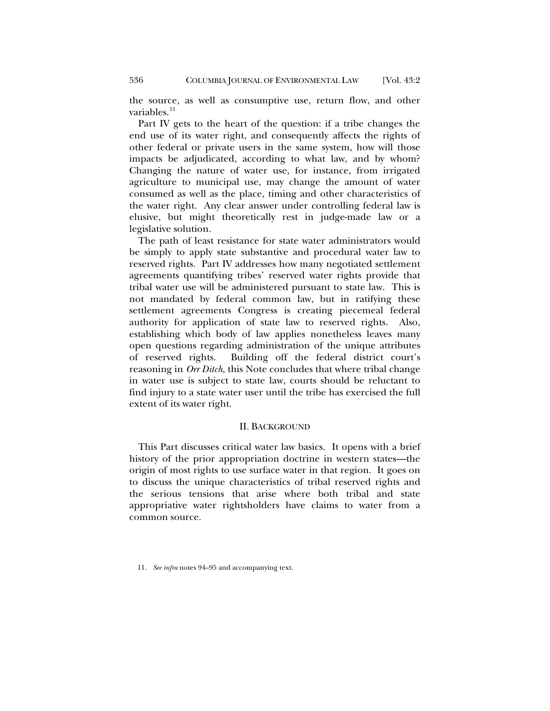the source, as well as consumptive use, return flow, and other variables. $11$ 

Part IV gets to the heart of the question: if a tribe changes the end use of its water right, and consequently affects the rights of other federal or private users in the same system, how will those impacts be adjudicated, according to what law, and by whom? Changing the nature of water use, for instance, from irrigated agriculture to municipal use, may change the amount of water consumed as well as the place, timing and other characteristics of the water right. Any clear answer under controlling federal law is elusive, but might theoretically rest in judge-made law or a legislative solution.

The path of least resistance for state water administrators would be simply to apply state substantive and procedural water law to reserved rights. Part IV addresses how many negotiated settlement agreements quantifying tribes' reserved water rights provide that tribal water use will be administered pursuant to state law. This is not mandated by federal common law, but in ratifying these settlement agreements Congress is creating piecemeal federal authority for application of state law to reserved rights. Also, establishing which body of law applies nonetheless leaves many open questions regarding administration of the unique attributes of reserved rights. Building off the federal district court's reasoning in *Orr Ditch*, this Note concludes that where tribal change in water use is subject to state law, courts should be reluctant to find injury to a state water user until the tribe has exercised the full extent of its water right.

#### II. BACKGROUND

This Part discusses critical water law basics. It opens with a brief history of the prior appropriation doctrine in western states—the origin of most rights to use surface water in that region. It goes on to discuss the unique characteristics of tribal reserved rights and the serious tensions that arise where both tribal and state appropriative water rightsholders have claims to water from a common source.

<span id="page-3-0"></span><sup>11.</sup> *See infra* note[s 94](#page-20-0)[–95](#page-20-1) and accompanying text.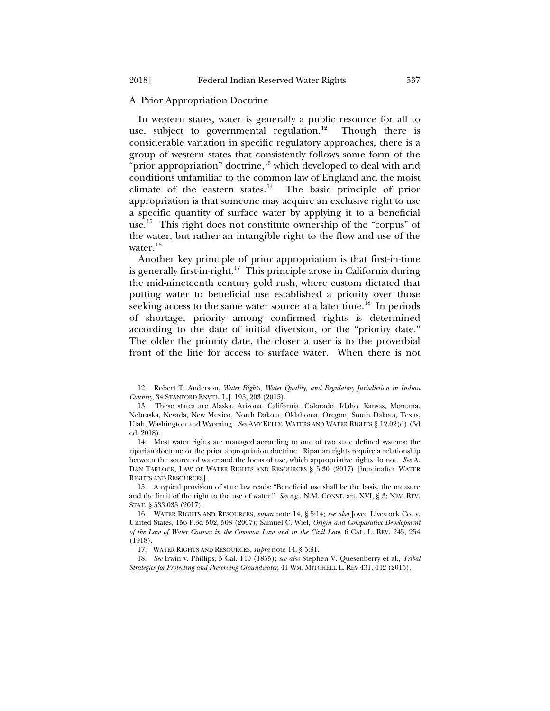### A. Prior Appropriation Doctrine

<span id="page-4-9"></span><span id="page-4-8"></span><span id="page-4-0"></span>In western states, water is generally a public resource for all to use, subject to governmental regulation.<sup>[12](#page-4-1)</sup> Though there is considerable variation in specific regulatory approaches, there is a group of western states that consistently follows some form of the "prior appropriation" doctrine,<sup>[13](#page-4-2)</sup> which developed to deal with arid conditions unfamiliar to the common law of England and the moist climate of the eastern states. $14$  The basic principle of prior appropriation is that someone may acquire an exclusive right to use a specific quantity of surface water by applying it to a beneficial use.[15](#page-4-4) This right does not constitute ownership of the "corpus" of the water, but rather an intangible right to the flow and use of the water.<sup>[16](#page-4-5)</sup>

Another key principle of prior appropriation is that first-in-time is generally first-in-right.<sup>[17](#page-4-6)</sup> This principle arose in California during the mid-nineteenth century gold rush, where custom dictated that putting water to beneficial use established a priority over those seeking access to the same water source at a later time.<sup>18</sup> In periods of shortage, priority among confirmed rights is determined according to the date of initial diversion, or the "priority date." The older the priority date, the closer a user is to the proverbial front of the line for access to surface water. When there is not

<span id="page-4-3"></span>14. Most water rights are managed according to one of two state defined systems: the riparian doctrine or the prior appropriation doctrine. Riparian rights require a relationship between the source of water and the locus of use, which appropriative rights do not. *See* A. DAN TARLOCK, LAW OF WATER RIGHTS AND RESOURCES § 5:30 (2017) [hereinafter WATER RIGHTS AND RESOURCES].

<span id="page-4-4"></span>15. A typical provision of state law reads: "Beneficial use shall be the basis, the measure and the limit of the right to the use of water." *See e.g.,* N.M. CONST. art. XVI, § 3; NEV. REV. STAT. § 533.035 (2017).

<span id="page-4-5"></span>16. WATER RIGHTS AND RESOURCES, *supra* note [14,](#page-4-0) § 5:14; *see also* Joyce Livestock Co. v. United States, 156 P.3d 502, 508 (2007); Samuel C. Wiel, *Origin and Comparative Development of the Law of Water Courses in the Common Law and in the Civil Law*, 6 CAL. L. REV. 245, 254 (1918).

17. WATER RIGHTS AND RESOURCES, *supra* not[e 14,](#page-4-0) § 5:31.

<span id="page-4-7"></span><span id="page-4-6"></span>18. *See* Irwin v. Phillips, 5 Cal. 140 (1855); *see also* Stephen V. Quesenberry et al., *Tribal Strategies for Protecting and Preserving Groundwater*, 41 WM. MITCHELL L. REV 431, 442 (2015).

<span id="page-4-1"></span><sup>12.</sup> Robert T. Anderson, *Water Rights, Water Quality, and Regulatory Jurisdiction in Indian Country*, 34 STANFORD ENVTL. L.J. 195, 203 (2015).

<span id="page-4-2"></span><sup>13.</sup> These states are Alaska, Arizona, California, Colorado, Idaho, Kansas, Montana, Nebraska, Nevada, New Mexico, North Dakota, Oklahoma, Oregon, South Dakota, Texas, Utah, Washington and Wyoming. *See* AMY KELLY, WATERS AND WATER RIGHTS § 12.02(d) (3d ed. 2018).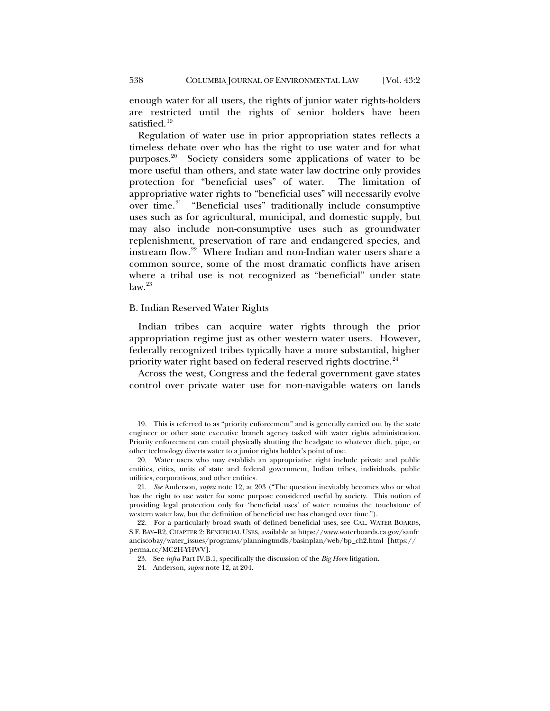enough water for all users, the rights of junior water rights-holders are restricted until the rights of senior holders have been satisfied.<sup>[19](#page-5-0)</sup>

Regulation of water use in prior appropriation states reflects a timeless debate over who has the right to use water and for what purposes[.20](#page-5-1) Society considers some applications of water to be more useful than others, and state water law doctrine only provides protection for "beneficial uses" of water. The limitation of appropriative water rights to "beneficial uses" will necessarily evolve over time.<sup>[21](#page-5-2)</sup> "Beneficial uses" traditionally include consumptive uses such as for agricultural, municipal, and domestic supply, but may also include non-consumptive uses such as groundwater replenishment, preservation of rare and endangered species, and instream flow.<sup>[22](#page-5-3)</sup> Where Indian and non-Indian water users share a common source, some of the most dramatic conflicts have arisen where a tribal use is not recognized as "beneficial" under state  $law.<sup>23</sup>$  $law.<sup>23</sup>$  $law.<sup>23</sup>$ 

### B. Indian Reserved Water Rights

Indian tribes can acquire water rights through the prior appropriation regime just as other western water users. However, federally recognized tribes typically have a more substantial, higher priority water right based on federal reserved rights doctrine.<sup>[24](#page-5-5)</sup>

Across the west, Congress and the federal government gave states control over private water use for non-navigable waters on lands

<span id="page-5-2"></span>21. *See* Anderson, *supra* note [12,](#page-4-8) at 203 ("The question inevitably becomes who or what has the right to use water for some purpose considered useful by society. This notion of providing legal protection only for 'beneficial uses' of water remains the touchstone of western water law, but the definition of beneficial use has changed over time.").

<span id="page-5-5"></span><span id="page-5-4"></span><span id="page-5-3"></span>22. For a particularly broad swath of defined beneficial uses, see CAL. WATER BOARDS, S.F. BAY–R2, CHAPTER 2: BENEFICIAL USES, available at https://www.waterboards.ca.gov/sanfr anciscobay/water\_issues/programs/planningtmdls/basinplan/web/bp\_ch2.html [https:// perma.cc/MC2H-YHWV].

23. See *infra* Part IV.B.1, specifically the discussion of the *Big Horn* litigation.

24. Anderson, *supra* not[e 12,](#page-4-8) at 204.

<span id="page-5-0"></span><sup>19.</sup> This is referred to as "priority enforcement" and is generally carried out by the state engineer or other state executive branch agency tasked with water rights administration. Priority enforcement can entail physically shutting the headgate to whatever ditch, pipe, or other technology diverts water to a junior rights holder's point of use.

<span id="page-5-1"></span><sup>20.</sup> Water users who may establish an appropriative right include private and public entities, cities, units of state and federal government, Indian tribes, individuals, public utilities, corporations, and other entities.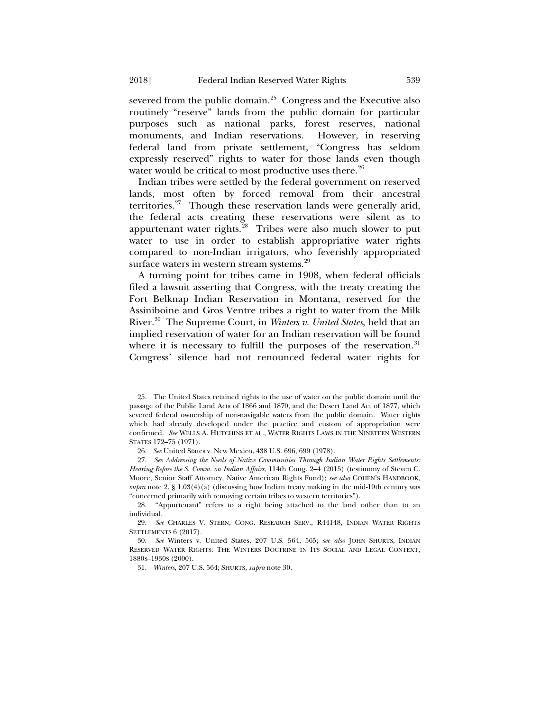<span id="page-6-10"></span>severed from the public domain.<sup>25</sup> Congress and the Executive also routinely "reserve" lands from the public domain for particular purposes such as national parks, forest reserves, national monuments, and Indian reservations. However, in reserving federal land from private settlement, "Congress has seldom expressly reserved" rights to water for those lands even though water would be critical to most productive uses there. $26$ 

<span id="page-6-0"></span>Indian tribes were settled by the federal government on reserved lands, most often by forced removal from their ancestral territories.<sup>27</sup> Though these reservation lands were generally arid, the federal acts creating these reservations were silent as to appurtenant water rights.<sup>[28](#page-6-5)</sup> Tribes were also much slower to put water to use in order to establish appropriative water rights compared to non-Indian irrigators, who feverishly appropriated surface waters in western stream systems.<sup>[29](#page-6-6)</sup>

<span id="page-6-9"></span><span id="page-6-1"></span>A turning point for tribes came in 1908, when federal officials filed a lawsuit asserting that Congress, with the treaty creating the Fort Belknap Indian Reservation in Montana, reserved for the Assiniboine and Gros Ventre tribes a right to water from the Milk River.[30](#page-6-7) The Supreme Court, in *Winters v. United States*, held that an implied reservation of water for an Indian reservation will be found where it is necessary to fulfill the purposes of the reservation. $31$ Congress' silence had not renounced federal water rights for

<span id="page-6-2"></span>25. The United States retained rights to the use of water on the public domain until the passage of the Public Land Acts of 1866 and 1870, and the Desert Land Act of 1877, which severed federal ownership of non-navigable waters from the public domain. Water rights which had already developed under the practice and custom of appropriation were confirmed. *See* WELLS A. HUTCHINS ET AL., WATER RIGHTS LAWS IN THE NINETEEN WESTERN STATES 172–75 (1971).

26. *See* United States v. New Mexico, 438 U.S. 696, 699 (1978).

<span id="page-6-4"></span><span id="page-6-3"></span>27. *See Addressing the Needs of Native Communities Through Indian Water Rights Settlements: Hearing Before the S. Comm. on Indian Affairs*, 114th Cong. 2–4 (2015) (testimony of Steven C. Moore, Senior Staff Attorney, Native American Rights Fund); *see also* COHEN'S HANDBOOK, *supra* not[e 2,](#page-1-7) § 1.03(4)(a) (discussing how Indian treaty making in the mid-19th century was "concerned primarily with removing certain tribes to western territories").

<span id="page-6-5"></span>28. "Appurtenant" refers to a right being attached to the land rather than to an individual.

<span id="page-6-6"></span>29. *See* CHARLES V. STERN, CONG. RESEARCH SERV., R44148, INDIAN WATER RIGHTS SETTLEMENTS 6 (2017).

<span id="page-6-8"></span><span id="page-6-7"></span>30. *See* Winters v. United States, 207 U.S. 564, 565; *see also* JOHN SHURTS, INDIAN RESERVED WATER RIGHTS: THE WINTERS DOCTRINE IN ITS SOCIAL AND LEGAL CONTEXT, 1880S–1930S (2000).

31. *Winters*, 207 U.S. 564; SHURTS, *supra* note [30.](#page-6-1)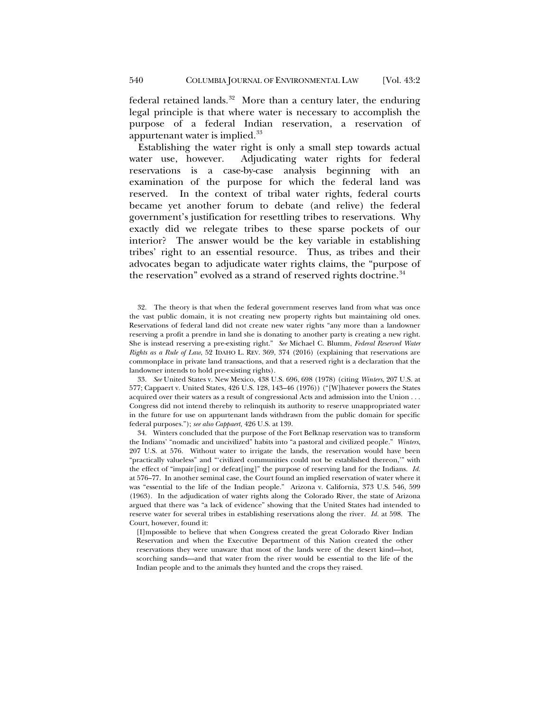federal retained lands.<sup>[32](#page-7-0)</sup> More than a century later, the enduring legal principle is that where water is necessary to accomplish the purpose of a federal Indian reservation, a reservation of appurtenant water is implied.<sup>33</sup>

Establishing the water right is only a small step towards actual water use, however. Adjudicating water rights for federal reservations is a case-by-case analysis beginning with an examination of the purpose for which the federal land was reserved. In the context of tribal water rights, federal courts became yet another forum to debate (and relive) the federal government's justification for resettling tribes to reservations. Why exactly did we relegate tribes to these sparse pockets of our interior? The answer would be the key variable in establishing tribes' right to an essential resource. Thus, as tribes and their advocates began to adjudicate water rights claims, the "purpose of the reservation" evolved as a strand of reserved rights doctrine.<sup>[34](#page-7-2)</sup>

<span id="page-7-0"></span>32. The theory is that when the federal government reserves land from what was once the vast public domain, it is not creating new property rights but maintaining old ones. Reservations of federal land did not create new water rights "any more than a landowner reserving a profit a prendre in land she is donating to another party is creating a new right. She is instead reserving a pre-existing right." *See* Michael C. Blumm, *Federal Reserved Water Rights as a Rule of Law*, 52 IDAHO L. REV. 369, 374 (2016) (explaining that reservations are commonplace in private land transactions, and that a reserved right is a declaration that the landowner intends to hold pre-existing rights).

<span id="page-7-1"></span>33. *See* United States v. New Mexico, 438 U.S. 696, 698 (1978) (citing *Winters*, 207 U.S. at 577; Cappaert v. United States, 426 U.S. 128, 143–46 (1976)) ("[W]hatever powers the States acquired over their waters as a result of congressional Acts and admission into the Union . . . Congress did not intend thereby to relinquish its authority to reserve unappropriated water in the future for use on appurtenant lands withdrawn from the public domain for specific federal purposes."); *see also Cappaert,* 426 U.S. at 139.

<span id="page-7-2"></span>34. Winters concluded that the purpose of the Fort Belknap reservation was to transform the Indians' "nomadic and uncivilized" habits into "a pastoral and civilized people." *Winters*, 207 U.S. at 576. Without water to irrigate the lands, the reservation would have been "practically valueless" and "'civilized communities could not be established thereon,'" with the effect of "impair[ing] or defeat[ing]" the purpose of reserving land for the Indians. *Id.*  at 576–77. In another seminal case, the Court found an implied reservation of water where it was "essential to the life of the Indian people." Arizona v. California, 373 U.S. 546, 599 (1963). In the adjudication of water rights along the Colorado River, the state of Arizona argued that there was "a lack of evidence" showing that the United States had intended to reserve water for several tribes in establishing reservations along the river. *Id.* at 598. The Court, however, found it:

[I]mpossible to believe that when Congress created the great Colorado River Indian Reservation and when the Executive Department of this Nation created the other reservations they were unaware that most of the lands were of the desert kind—hot, scorching sands—and that water from the river would be essential to the life of the Indian people and to the animals they hunted and the crops they raised.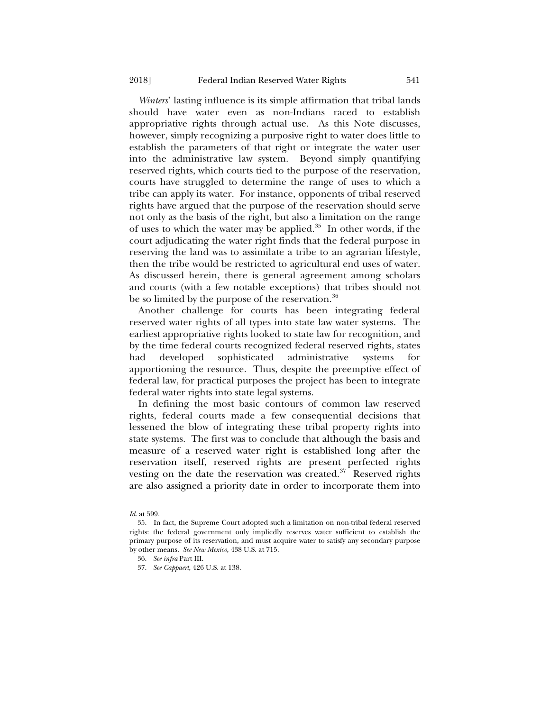*Winters*' lasting influence is its simple affirmation that tribal lands should have water even as non-Indians raced to establish appropriative rights through actual use. As this Note discusses, however, simply recognizing a purposive right to water does little to establish the parameters of that right or integrate the water user into the administrative law system. Beyond simply quantifying reserved rights, which courts tied to the purpose of the reservation, courts have struggled to determine the range of uses to which a tribe can apply its water. For instance, opponents of tribal reserved rights have argued that the purpose of the reservation should serve not only as the basis of the right, but also a limitation on the range of uses to which the water may be applied.<sup>35</sup> In other words, if the court adjudicating the water right finds that the federal purpose in reserving the land was to assimilate a tribe to an agrarian lifestyle, then the tribe would be restricted to agricultural end uses of water. As discussed herein, there is general agreement among scholars and courts (with a few notable exceptions) that tribes should not be so limited by the purpose of the reservation.<sup>[36](#page-8-1)</sup>

Another challenge for courts has been integrating federal reserved water rights of all types into state law water systems. The earliest appropriative rights looked to state law for recognition, and by the time federal courts recognized federal reserved rights, states had developed sophisticated administrative systems for apportioning the resource. Thus, despite the preemptive effect of federal law, for practical purposes the project has been to integrate federal water rights into state legal systems.

In defining the most basic contours of common law reserved rights, federal courts made a few consequential decisions that lessened the blow of integrating these tribal property rights into state systems. The first was to conclude that although the basis and measure of a reserved water right is established long after the reservation itself, reserved rights are present perfected rights vesting on the date the reservation was created. $37$  Reserved rights are also assigned a priority date in order to incorporate them into

*Id*. at 599.

<span id="page-8-2"></span><span id="page-8-1"></span><span id="page-8-0"></span><sup>35.</sup> In fact, the Supreme Court adopted such a limitation on non-tribal federal reserved rights: the federal government only impliedly reserves water sufficient to establish the primary purpose of its reservation, and must acquire water to satisfy any secondary purpose by other means. *See New Mexico,* 438 U.S. at 715.

<sup>36.</sup> *See infra* Part III.

<sup>37.</sup> *See Cappaert*, 426 U.S. at 138.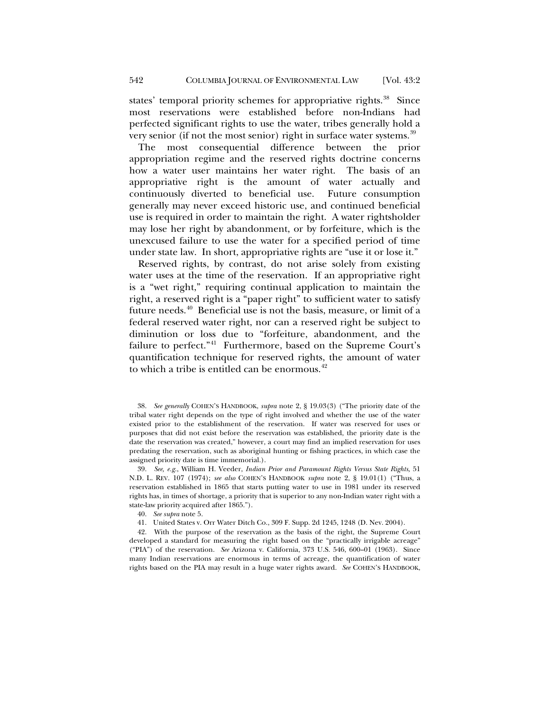states' temporal priority schemes for appropriative rights.<sup>38</sup> Since most reservations were established before non-Indians had perfected significant rights to use the water, tribes generally hold a very senior (if not the most senior) right in surface water systems.<sup>[39](#page-9-1)</sup>

The most consequential difference between the prior appropriation regime and the reserved rights doctrine concerns how a water user maintains her water right. The basis of an appropriative right is the amount of water actually and continuously diverted to beneficial use. Future consumption generally may never exceed historic use, and continued beneficial use is required in order to maintain the right. A water rightsholder may lose her right by abandonment, or by forfeiture, which is the unexcused failure to use the water for a specified period of time under state law. In short, appropriative rights are "use it or lose it."

Reserved rights, by contrast, do not arise solely from existing water uses at the time of the reservation. If an appropriative right is a "wet right," requiring continual application to maintain the right, a reserved right is a "paper right" to sufficient water to satisfy future needs.[40](#page-9-2) Beneficial use is not the basis, measure, or limit of a federal reserved water right, nor can a reserved right be subject to diminution or loss due to "forfeiture, abandonment, and the failure to perfect."<sup>[41](#page-9-3)</sup> Furthermore, based on the Supreme Court's quantification technique for reserved rights, the amount of water to which a tribe is entitled can be enormous.<sup>[42](#page-9-4)</sup>

<span id="page-9-1"></span>39. *See, e.g.*, William H. Veeder, *Indian Prior and Paramount Rights Versus State Rights,* 51 N.D. L. REV. 107 (1974); *see also* COHEN'S HANDBOOK *supra* note 2, § 19.01(1) ("Thus, a reservation established in 1865 that starts putting water to use in 1981 under its reserved rights has, in times of shortage, a priority that is superior to any non-Indian water right with a state-law priority acquired after 1865.").

40. *See supra* not[e 5.](#page-1-8)

41. United States v. Orr Water Ditch Co., 309 F. Supp. 2d 1245, 1248 (D. Nev. 2004).

<span id="page-9-4"></span><span id="page-9-3"></span><span id="page-9-2"></span>42. With the purpose of the reservation as the basis of the right, the Supreme Court developed a standard for measuring the right based on the "practically irrigable acreage" ("PIA") of the reservation. *See* Arizona v. California, 373 U.S. 546, 600–01 (1963). Since many Indian reservations are enormous in terms of acreage, the quantification of water rights based on the PIA may result in a huge water rights award. *See* COHEN'S HANDBOOK,

<span id="page-9-0"></span><sup>38.</sup> *See generally* COHEN'S HANDBOOK, *supra* note [2,](#page-1-7) § 19.03(3) ("The priority date of the tribal water right depends on the type of right involved and whether the use of the water existed prior to the establishment of the reservation. If water was reserved for uses or purposes that did not exist before the reservation was established, the priority date is the date the reservation was created," however, a court may find an implied reservation for uses predating the reservation, such as aboriginal hunting or fishing practices, in which case the assigned priority date is time immemorial.).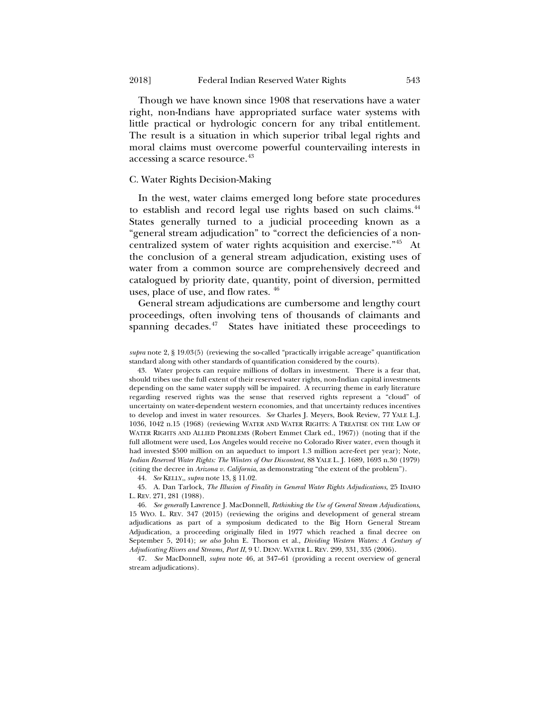Though we have known since 1908 that reservations have a water right, non-Indians have appropriated surface water systems with little practical or hydrologic concern for any tribal entitlement. The result is a situation in which superior tribal legal rights and moral claims must overcome powerful countervailing interests in accessing a scarce resource.<sup>[43](#page-10-1)</sup>

## <span id="page-10-7"></span>C. Water Rights Decision-Making

<span id="page-10-6"></span>In the west, water claims emerged long before state procedures to establish and record legal use rights based on such claims.<sup>[44](#page-10-2)</sup> States generally turned to a judicial proceeding known as a "general stream adjudication" to "correct the deficiencies of a noncentralized system of water rights acquisition and exercise."[45](#page-10-3) At the conclusion of a general stream adjudication, existing uses of water from a common source are comprehensively decreed and catalogued by priority date, quantity, point of diversion, permitted uses, place of use, and flow rates. [46](#page-10-4)

<span id="page-10-0"></span>General stream adjudications are cumbersome and lengthy court proceedings, often involving tens of thousands of claimants and spanning decades. $47$  States have initiated these proceedings to

*supra* note [2,](#page-1-7) § 19.03(5) (reviewing the so-called "practically irrigable acreage" quantification standard along with other standards of quantification considered by the courts).

<span id="page-10-1"></span>43. Water projects can require millions of dollars in investment. There is a fear that, should tribes use the full extent of their reserved water rights, non-Indian capital investments depending on the same water supply will be impaired. A recurring theme in early literature regarding reserved rights was the sense that reserved rights represent a "cloud" of uncertainty on water-dependent western economies, and that uncertainty reduces incentives to develop and invest in water resources. *See* Charles J. Meyers, Book Review, 77 YALE L.J. 1036, 1042 n.15 (1968) (reviewing WATER AND WATER RIGHTS: A TREATISE ON THE LAW OF WATER RIGHTS AND ALLIED PROBLEMS (Robert Emmet Clark ed., 1967)) (noting that if the full allotment were used, Los Angeles would receive no Colorado River water, even though it had invested \$500 million on an aqueduct to import 1.3 million acre-feet per year); Note, *Indian Reserved Water Rights: The Winters of Our Discontent*, 88 YALE L. J. 1689, 1693 n.30 (1979) (citing the decree in *Arizona v. California*, as demonstrating "the extent of the problem").

44. *See* KELLY,, *supra* not[e 13,](#page-4-9) § 11.02.

<span id="page-10-3"></span><span id="page-10-2"></span>45. A. Dan Tarlock, *The Illusion of Finality in General Water Rights Adjudications*, 25 IDAHO L. REV. 271, 281 (1988).

<span id="page-10-4"></span>46. *See generally* Lawrence J. MacDonnell, *Rethinking the Use of General Stream Adjudications*, 15 WYO. L. REV. 347 (2015) (reviewing the origins and development of general stream adjudications as part of a symposium dedicated to the Big Horn General Stream Adjudication, a proceeding originally filed in 1977 which reached a final decree on September 5, 2014); *see also* John E. Thorson et al., *Dividing Western Waters: A Century of Adjudicating Rivers and Streams, Part II*, 9 U. DENV. WATER L. REV. 299, 331, 335 (2006).

<span id="page-10-5"></span>47. *See* MacDonnell, *supra* note [46,](#page-10-0) at 347–61 (providing a recent overview of general stream adjudications).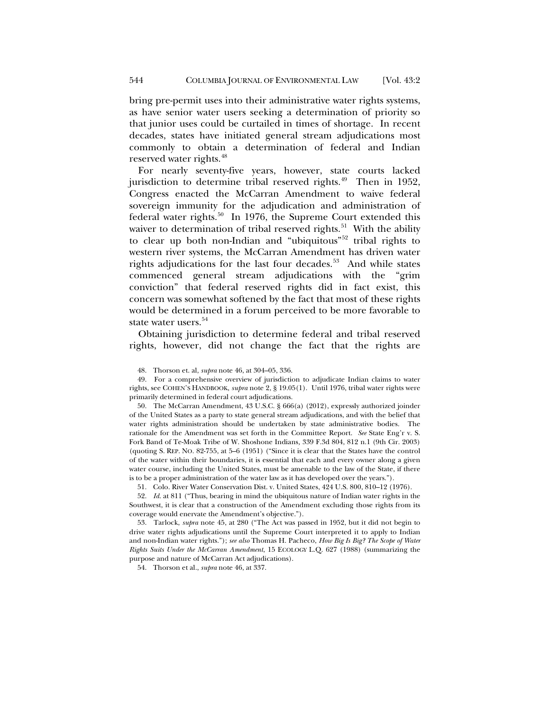bring pre-permit uses into their administrative water rights systems, as have senior water users seeking a determination of priority so that junior uses could be curtailed in times of shortage. In recent decades, states have initiated general stream adjudications most commonly to obtain a determination of federal and Indian reserved water rights.<sup>[48](#page-11-0)</sup>

For nearly seventy-five years, however, state courts lacked jurisdiction to determine tribal reserved rights. $49$  Then in 1952, Congress enacted the McCarran Amendment to waive federal sovereign immunity for the adjudication and administration of federal water rights.<sup>50</sup> In 1976, the Supreme Court extended this waiver to determination of tribal reserved rights.<sup>51</sup> With the ability to clear up both non-Indian and "ubiquitous"<sup>[52](#page-11-4)</sup> tribal rights to western river systems, the McCarran Amendment has driven water rights adjudications for the last four decades.<sup>53</sup> And while states commenced general stream adjudications with the "grim conviction" that federal reserved rights did in fact exist, this concern was somewhat softened by the fact that most of these rights would be determined in a forum perceived to be more favorable to state water users.<sup>[54](#page-11-6)</sup>

Obtaining jurisdiction to determine federal and tribal reserved rights, however, did not change the fact that the rights are

<span id="page-11-1"></span><span id="page-11-0"></span>49. For a comprehensive overview of jurisdiction to adjudicate Indian claims to water rights, see COHEN'S HANDBOOK, *supra* note [2,](#page-1-7) § 19.05(1). Until 1976, tribal water rights were primarily determined in federal court adjudications.

<span id="page-11-2"></span>50. The McCarran Amendment, 43 U.S.C. § 666(a) (2012), expressly authorized joinder of the United States as a party to state general stream adjudications, and with the belief that water rights administration should be undertaken by state administrative bodies. The rationale for the Amendment was set forth in the Committee Report. *See* State Eng'r v. S. Fork Band of Te-Moak Tribe of W. Shoshone Indians*,* 339 F.3d 804, 812 n.1 (9th Cir. 2003) (quoting S. REP. NO. 82-755, at 5–6 (1951) ("Since it is clear that the States have the control of the water within their boundaries, it is essential that each and every owner along a given water course, including the United States, must be amenable to the law of the State, if there is to be a proper administration of the water law as it has developed over the years.").

51. Colo. River Water Conservation Dist. v. United States, 424 U.S. 800, 810–12 (1976).

<span id="page-11-4"></span><span id="page-11-3"></span>52. *Id*. at 811 ("Thus, bearing in mind the ubiquitous nature of Indian water rights in the Southwest, it is clear that a construction of the Amendment excluding those rights from its coverage would enervate the Amendment's objective.").

<span id="page-11-6"></span><span id="page-11-5"></span>53. Tarlock, *supra* not[e 45,](#page-10-6) at 280 ("The Act was passed in 1952, but it did not begin to drive water rights adjudications until the Supreme Court interpreted it to apply to Indian and non-Indian water rights."); *see also* Thomas H. Pacheco, *How Big Is Big? The Scope of Water Rights Suits Under the McCarran Amendment*, 15 ECOLOGY L.Q. 627 (1988) (summarizing the purpose and nature of McCarran Act adjudications).

54. Thorson et al., *supra* not[e 46,](#page-10-0) at 337.

<sup>48.</sup> Thorson et. al, *supra* not[e 46,](#page-10-0) at 304–05, 336.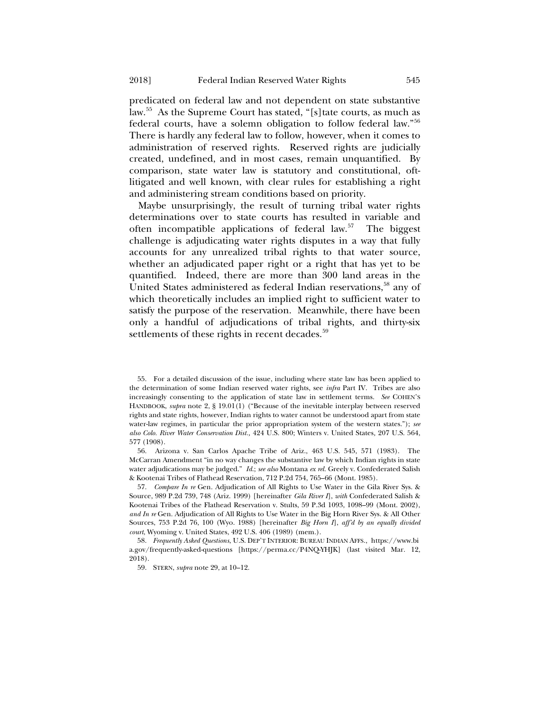<span id="page-12-5"></span>predicated on federal law and not dependent on state substantive law.[55](#page-12-0) As the Supreme Court has stated, "[s]tate courts, as much as federal courts, have a solemn obligation to follow federal law."[56](#page-12-1) There is hardly any federal law to follow, however, when it comes to administration of reserved rights. Reserved rights are judicially created, undefined, and in most cases, remain unquantified. By comparison, state water law is statutory and constitutional, oftlitigated and well known, with clear rules for establishing a right and administering stream conditions based on priority.

Maybe unsurprisingly, the result of turning tribal water rights determinations over to state courts has resulted in variable and often incompatible applications of federal law.[57](#page-12-2) The biggest challenge is adjudicating water rights disputes in a way that fully accounts for any unrealized tribal rights to that water source, whether an adjudicated paper right or a right that has yet to be quantified. Indeed, there are more than 300 land areas in the United States administered as federal Indian reservations,<sup>[58](#page-12-3)</sup> any of which theoretically includes an implied right to sufficient water to satisfy the purpose of the reservation. Meanwhile, there have been only a handful of adjudications of tribal rights, and thirty-six settlements of these rights in recent decades.<sup>[59](#page-12-4)</sup>

<span id="page-12-0"></span>55. For a detailed discussion of the issue, including where state law has been applied to the determination of some Indian reserved water rights, see *infra* Part IV. Tribes are also increasingly consenting to the application of state law in settlement terms. *See* COHEN'S HANDBOOK, *supra* note [2,](#page-1-7) § 19.01(1) ("Because of the inevitable interplay between reserved rights and state rights, however, Indian rights to water cannot be understood apart from state water-law regimes, in particular the prior appropriation system of the western states."); *see also Colo. River Water Conservation Dist.,* 424 U.S. 800; Winters v. United States*,* 207 U.S. 564, 577 (1908).

<span id="page-12-1"></span>56. Arizona v. San Carlos Apache Tribe of Ariz., 463 U.S. 545, 571 (1983). The McCarran Amendment "in no way changes the substantive law by which Indian rights in state water adjudications may be judged." *Id*.; *see also* Montana *ex rel.* Greely v. Confederated Salish & Kootenai Tribes of Flathead Reservation, 712 P.2d 754, 765–66 (Mont. 1985).

<span id="page-12-2"></span>57. *Compare In re* Gen. Adjudication of All Rights to Use Water in the Gila River Sys. & Source, 989 P.2d 739, 748 (Ariz. 1999) [hereinafter *Gila River I*], *with* Confederated Salish & Kootenai Tribes of the Flathead Reservation v. Stults, 59 P.3d 1093, 1098–99 (Mont. 2002), *and In re* Gen. Adjudication of All Rights to Use Water in the Big Horn River Sys. & All Other Sources, 753 P.2d 76, 100 (Wyo. 1988) [hereinafter *Big Horn I*], *aff'd by an equally divided court*, Wyoming v. United States, 492 U.S. 406 (1989) (mem.).

<span id="page-12-4"></span><span id="page-12-3"></span>58. *Frequently Asked Questions*, U.S. DEP'T INTERIOR: BUREAU INDIAN AFFS., https://www.bi a.gov/frequently-asked-questions [https://perma.cc/P4NQ-YHJK] (last visited Mar. 12, 2018).

59. STERN, *supra* not[e 29,](#page-6-9) at 10–12.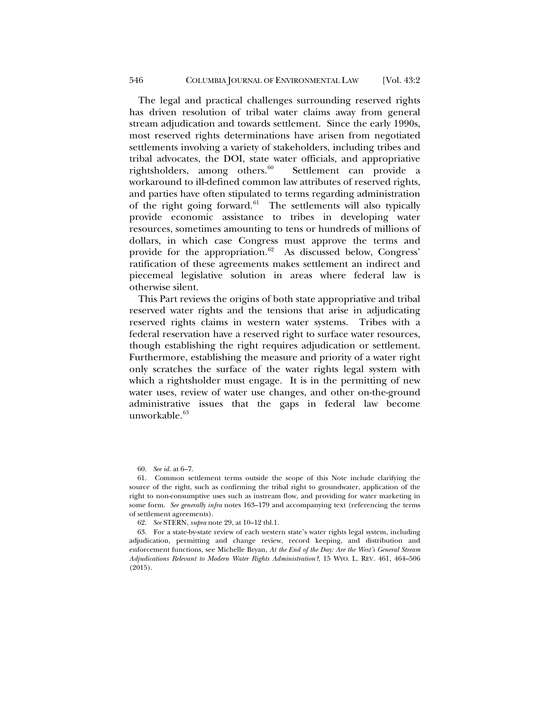The legal and practical challenges surrounding reserved rights has driven resolution of tribal water claims away from general stream adjudication and towards settlement. Since the early 1990s, most reserved rights determinations have arisen from negotiated settlements involving a variety of stakeholders, including tribes and tribal advocates, the DOI, state water officials, and appropriative rightsholders, among others.<sup>60</sup> Settlement can provide a workaround to ill-defined common law attributes of reserved rights, and parties have often stipulated to terms regarding administration of the right going forward.<sup>61</sup> The settlements will also typically provide economic assistance to tribes in developing water resources, sometimes amounting to tens or hundreds of millions of dollars, in which case Congress must approve the terms and provide for the appropriation.<sup>[62](#page-13-2)</sup> As discussed below, Congress' ratification of these agreements makes settlement an indirect and piecemeal legislative solution in areas where federal law is otherwise silent.

<span id="page-13-4"></span>This Part reviews the origins of both state appropriative and tribal reserved water rights and the tensions that arise in adjudicating reserved rights claims in western water systems. Tribes with a federal reservation have a reserved right to surface water resources, though establishing the right requires adjudication or settlement. Furthermore, establishing the measure and priority of a water right only scratches the surface of the water rights legal system with which a rightsholder must engage. It is in the permitting of new water uses, review of water use changes, and other on-the-ground administrative issues that the gaps in federal law become unworkable.<sup>[63](#page-13-3)</sup>

60. *See id.* at 6–7.

62. *See* STERN, *supra* not[e 29,](#page-6-9) at 10–12 tbl.1.

<span id="page-13-3"></span><span id="page-13-2"></span>63. For a state-by-state review of each western state's water rights legal system, including adjudication, permitting and change review, record keeping, and distribution and enforcement functions, see Michelle Bryan, *At the End of the Day: Are the West's General Stream Adjudications Relevant to Modern Water Rights Administration?*, 15 WYO. L. REV. 461, 464–506 (2015).

<span id="page-13-1"></span><span id="page-13-0"></span><sup>61.</sup> Common settlement terms outside the scope of this Note include clarifying the source of the right, such as confirming the tribal right to groundwater, application of the right to non-consumptive uses such as instream flow, and providing for water marketing in some form. *See generally infra* notes [163](#page-35-0)[–179](#page-37-0) and accompanying text (referencing the terms of settlement agreements).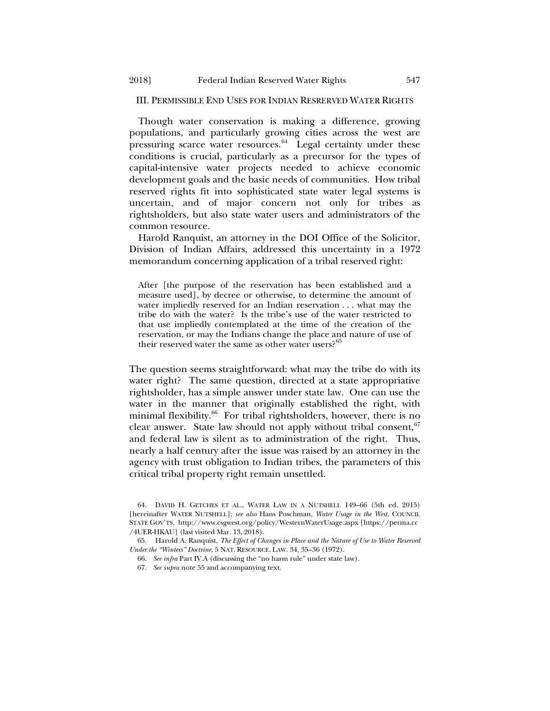## <span id="page-14-5"></span>III. PERMISSIBLE END USES FOR INDIAN RESRERVED WATER RIGHTS

Though water conservation is making a difference, growing populations, and particularly growing cities across the west are pressuring scarce water resources. $64 \text{ Legal certainty under these}$ conditions is crucial, particularly as a precursor for the types of capital-intensive water projects needed to achieve economic development goals and the basic needs of communities. How tribal reserved rights fit into sophisticated state water legal systems is uncertain, and of major concern not only for tribes as rightsholders, but also state water users and administrators of the common resource.

Harold Ranquist, an attorney in the DOI Office of the Solicitor, Division of Indian Affairs, addressed this uncertainty in a 1972 memorandum concerning application of a tribal reserved right:

<span id="page-14-0"></span>After [the purpose of the reservation has been established and a measure used], by decree or otherwise, to determine the amount of water impliedly reserved for an Indian reservation . . . what may the tribe do with the water? Is the tribe's use of the water restricted to that use impliedly contemplated at the time of the creation of the reservation, or may the Indians change the place and nature of use of their reserved water the same as other water users? $65$ 

The question seems straightforward: what may the tribe do with its water right? The same question, directed at a state appropriative rightsholder, has a simple answer under state law. One can use the water in the manner that originally established the right, with minimal flexibility.<sup>[66](#page-14-3)</sup> For tribal rightsholders, however, there is no clear answer. State law should not apply without tribal consent,  $67$ and federal law is silent as to administration of the right. Thus, nearly a half century after the issue was raised by an attorney in the agency with trust obligation to Indian tribes, the parameters of this critical tribal property right remain unsettled.

<span id="page-14-1"></span><sup>64.</sup> DAVID H. GETCHES ET AL., WATER LAW IN A NUTSHELL 149–66 (5th ed. 2015) [hereinafter WATER NUTSHELL]; *see also* Hans Poschman, *Water Usage in the West*, COUNCIL STATE GOV'TS,<http://www.csgwest.org/policy/WesternWaterUsage.aspx> [https://perma.cc /4UER-HKAU] (last visited Mar. 13, 2018).

<span id="page-14-4"></span><span id="page-14-3"></span><span id="page-14-2"></span><sup>65.</sup> Harold A. Ranquist*, The Effect of Changes in Place and the Nature of Use to Water Reserved Under the "Winters" Doctrine*, 5 NAT. RESOURCE. LAW. 34, 35–36 (1972).

<sup>66.</sup> *See infra* Part IV.A (discussing the "no harm rule" under state law).

<sup>67.</sup> *See supra* not[e 55](#page-12-5) and accompanying text.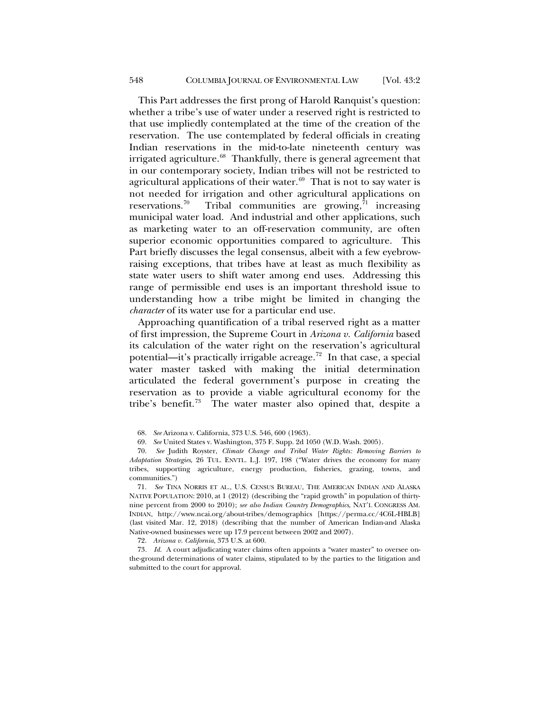This Part addresses the first prong of Harold Ranquist's question: whether a tribe's use of water under a reserved right is restricted to that use impliedly contemplated at the time of the creation of the reservation. The use contemplated by federal officials in creating Indian reservations in the mid-to-late nineteenth century was irrigated agriculture.<sup>68</sup> Thankfully, there is general agreement that in our contemporary society, Indian tribes will not be restricted to agricultural applications of their water. $69$  That is not to say water is not needed for irrigation and other agricultural applications on reservations.<sup>[70](#page-15-2)</sup> Tribal communities are growing,<sup>[71](#page-15-3)</sup> increasing municipal water load. And industrial and other applications, such as marketing water to an off-reservation community, are often superior economic opportunities compared to agriculture. This Part briefly discusses the legal consensus, albeit with a few eyebrowraising exceptions, that tribes have at least as much flexibility as state water users to shift water among end uses. Addressing this range of permissible end uses is an important threshold issue to understanding how a tribe might be limited in changing the *character* of its water use for a particular end use.

Approaching quantification of a tribal reserved right as a matter of first impression, the Supreme Court in *Arizona v. California* based its calculation of the water right on the reservation's agricultural potential—it's practically irrigable acreage.<sup>[72](#page-15-4)</sup> In that case, a special water master tasked with making the initial determination articulated the federal government's purpose in creating the reservation as to provide a viable agricultural economy for the tribe's benefit.<sup>73</sup> The water master also opined that, despite a

<span id="page-15-2"></span><span id="page-15-1"></span><span id="page-15-0"></span>70. *See* Judith Royster, *Climate Change and Tribal Water Rights: Removing Barriers to Adaptation Strategies*, 26 TUL. ENVTL. L.J. 197, 198 ("Water drives the economy for many tribes, supporting agriculture, energy production, fisheries, grazing, towns, and communities.")

<span id="page-15-3"></span>71. *See* TINA NORRIS ET AL., U.S. CENSUS BUREAU, THE AMERICAN INDIAN AND ALASKA NATIVE POPULATION: 2010, at 1 (2012) (describing the "rapid growth" in population of thirtynine percent from 2000 to 2010); *see also Indian Country Demographics*, NAT'L CONGRESS AM. INDIAN, http://www.ncai.org/about-tribes/demographics [https://perma.cc/4C6L-HBLB] (last visited Mar. 12, 2018) (describing that the number of American Indian-and Alaska Native-owned businesses were up 17.9 percent between 2002 and 2007).

72. *Arizona v. California*, 373 U.S. at 600.

<span id="page-15-5"></span><span id="page-15-4"></span>73*. Id.* A court adjudicating water claims often appoints a "water master" to oversee onthe-ground determinations of water claims, stipulated to by the parties to the litigation and submitted to the court for approval.

<sup>68.</sup> *See* Arizona v. California, 373 U.S. 546, 600 (1963).

<sup>69.</sup> *See* United States v. Washington, 375 F. Supp. 2d 1050 (W.D. Wash. 2005).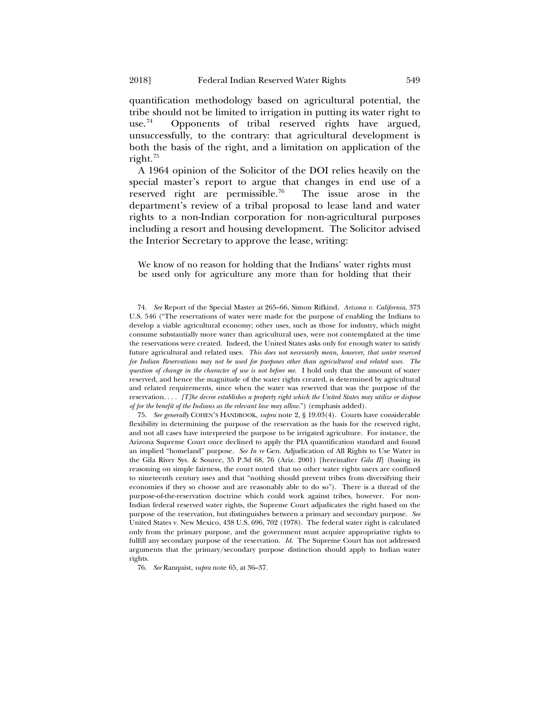quantification methodology based on agricultural potential, the tribe should not be limited to irrigation in putting its water right to use.<sup>74</sup> Opponents of tribal reserved rights have argued, unsuccessfully, to the contrary: that agricultural development is both the basis of the right, and a limitation on application of the right.[75](#page-16-1)

A 1964 opinion of the Solicitor of the DOI relies heavily on the special master's report to argue that changes in end use of a reserved right are permissible.[76](#page-16-2) The issue arose in the department's review of a tribal proposal to lease land and water rights to a non-Indian corporation for non-agricultural purposes including a resort and housing development. The Solicitor advised the Interior Secretary to approve the lease, writing:

We know of no reason for holding that the Indians' water rights must be used only for agriculture any more than for holding that their

<span id="page-16-0"></span>74. *See* Report of the Special Master at 265–66, Simon Rifkind, *Arizona v. California*, 373 U.S. 546 ("The reservations of water were made for the purpose of enabling the Indians to develop a viable agricultural economy; other uses, such as those for industry, which might consume substantially more water than agricultural uses, were not contemplated at the time the reservations were created. Indeed, the United States asks only for enough water to satisfy future agricultural and related uses. *This does not necessarily mean, however, that water reserved for Indian Reservations may not be used for purposes other than agricultural and related uses. The question of change in the character of use is not before me.* I hold only that the amount of water reserved, and hence the magnitude of the water rights created, is determined by agricultural and related requirements, since when the water was reserved that was the purpose of the reservation. . . . *[T]he decree establishes a property right which the United States may utilize or dispose of for the benefit of the Indians as the relevant law may allow.*") (emphasis added).

<span id="page-16-1"></span>75. *See generally* COHEN'S HANDBOOK, *supra* not[e 2,](#page-1-7) § 19.03(4). Courts have considerable flexibility in determining the purpose of the reservation as the basis for the reserved right, and not all cases have interpreted the purpose to be irrigated agriculture. For instance, the Arizona Supreme Court once declined to apply the PIA quantification standard and found an implied "homeland" purpose. *See In re* Gen. Adjudication of All Rights to Use Water in the Gila River Sys. & Source, 35 P.3d 68, 76 (Ariz. 2001) [hereinafter *Gila II*] (basing its reasoning on simple fairness, the court noted that no other water rights users are confined to nineteenth century uses and that "nothing should prevent tribes from diversifying their economies if they so choose and are reasonably able to do so"). There is a thread of the purpose-of-the-reservation doctrine which could work against tribes, however. For non-Indian federal reserved water rights, the Supreme Court adjudicates the right based on the purpose of the reservation, but distinguishes between a primary and secondary purpose. *See*  United States v. New Mexico, 438 U.S. 696, 702 (1978). The federal water right is calculated only from the primary purpose, and the government must acquire appropriative rights to fulfill any secondary purpose of the reservation. *Id*. The Supreme Court has not addressed arguments that the primary/secondary purpose distinction should apply to Indian water rights.

<span id="page-16-2"></span>76. *See* Ranquist, *supra* not[e 65,](#page-14-0) at 36–37.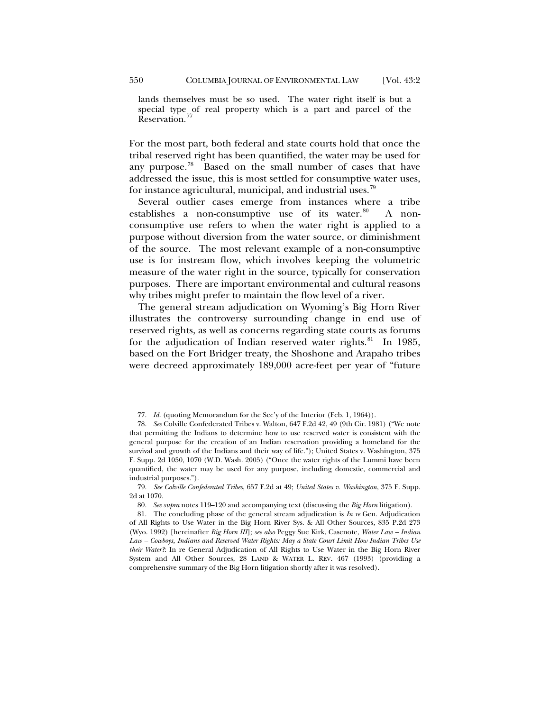lands themselves must be so used. The water right itself is but a special type of real property which is a part and parcel of the Reservation.<sup>[77](#page-17-0)</sup>

For the most part, both federal and state courts hold that once the tribal reserved right has been quantified, the water may be used for any purpose.<sup>78</sup> Based on the small number of cases that have addressed the issue, this is most settled for consumptive water uses, for instance agricultural, municipal, and industrial uses.<sup>[79](#page-17-2)</sup>

Several outlier cases emerge from instances where a tribe establishes a non-consumptive use of its water. $80$  A nonconsumptive use refers to when the water right is applied to a purpose without diversion from the water source, or diminishment of the source. The most relevant example of a non-consumptive use is for instream flow, which involves keeping the volumetric measure of the water right in the source, typically for conservation purposes. There are important environmental and cultural reasons why tribes might prefer to maintain the flow level of a river.

The general stream adjudication on Wyoming's Big Horn River illustrates the controversy surrounding change in end use of reserved rights, as well as concerns regarding state courts as forums for the adjudication of Indian reserved water rights.<sup>81</sup> In 1985, based on the Fort Bridger treaty, the Shoshone and Arapaho tribes were decreed approximately 189,000 acre-feet per year of "future

<span id="page-17-2"></span>79. *See Colville Confederated Tribes*, 657 F.2d at 49; *United States v. Washington*, 375 F. Supp. 2d at 1070.

80. *See supra* note[s 119](#page-25-0)[–120](#page-25-1) and accompanying text (discussing the *Big Horn* litigation).

<span id="page-17-4"></span><span id="page-17-3"></span>81. The concluding phase of the general stream adjudication is *In re* Gen. Adjudication of All Rights to Use Water in the Big Horn River Sys. & All Other Sources*,* 835 P.2d 273 (Wyo. 1992) [hereinafter *Big Horn III*]; *see also* Peggy Sue Kirk, Casenote, *Water Law – Indian Law – Cowboys, Indians and Reserved Water Rights: May a State Court Limit How Indian Tribes Use their Water?*: In re General Adjudication of All Rights to Use Water in the Big Horn River System and All Other Sources, 28 LAND & WATER L. REV. 467 (1993) (providing a comprehensive summary of the Big Horn litigation shortly after it was resolved).

<sup>77.</sup> *Id*. (quoting Memorandum for the Sec'y of the Interior (Feb. 1, 1964)).

<span id="page-17-1"></span><span id="page-17-0"></span><sup>78.</sup> *See* Colville Confederated Tribes v. Walton, 647 F.2d 42, 49 (9th Cir. 1981) ("We note that permitting the Indians to determine how to use reserved water is consistent with the general purpose for the creation of an Indian reservation providing a homeland for the survival and growth of the Indians and their way of life."); United States v. Washington, 375 F. Supp. 2d 1050, 1070 (W.D. Wash. 2005) ("Once the water rights of the Lummi have been quantified, the water may be used for any purpose, including domestic, commercial and industrial purposes.").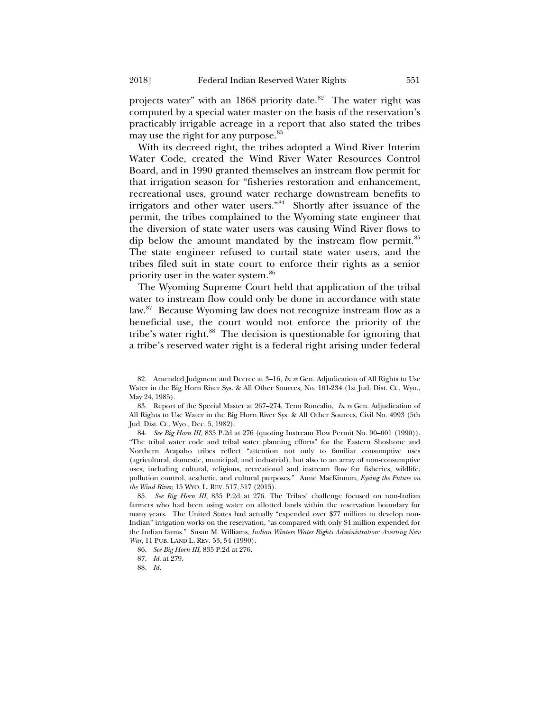projects water" with an 1868 priority date. $82$  The water right was computed by a special water master on the basis of the reservation's practicably irrigable acreage in a report that also stated the tribes may use the right for any purpose.<sup>83</sup>

With its decreed right, the tribes adopted a Wind River Interim Water Code, created the Wind River Water Resources Control Board, and in 1990 granted themselves an instream flow permit for that irrigation season for "fisheries restoration and enhancement, recreational uses, ground water recharge downstream benefits to irrigators and other water users."[84](#page-18-2) Shortly after issuance of the permit, the tribes complained to the Wyoming state engineer that the diversion of state water users was causing Wind River flows to dip below the amount mandated by the instream flow permit. $85$ The state engineer refused to curtail state water users, and the tribes filed suit in state court to enforce their rights as a senior priority user in the water system.<sup>[86](#page-18-4)</sup>

The Wyoming Supreme Court held that application of the tribal water to instream flow could only be done in accordance with state law.<sup>[87](#page-18-5)</sup> Because Wyoming law does not recognize instream flow as a beneficial use, the court would not enforce the priority of the tribe's water right.<sup>88</sup> The decision is questionable for ignoring that a tribe's reserved water right is a federal right arising under federal

<span id="page-18-1"></span>83. Report of the Special Master at 267–274, Teno Roncalio, *In re* Gen. Adjudication of All Rights to Use Water in the Big Horn River Sys. & All Other Sources, Civil No. 4993 (5th Jud. Dist. Ct., Wyo., Dec. 5, 1982).

<span id="page-18-2"></span>84. *See Big Horn III,* 835 P.2d at 276 (quoting Instream Flow Permit No. 90–001 (1990)). "The tribal water code and tribal water planning efforts" for the Eastern Shoshone and Northern Arapaho tribes reflect "attention not only to familiar consumptive uses (agricultural, domestic, municipal, and industrial), but also to an array of non-consumptive uses, including cultural, religious, recreational and instream flow for fisheries, wildlife, pollution control, aesthetic, and cultural purposes." Anne MacKinnon, *Eyeing the Future on the Wind River*, 15 WYO. L. REV. 517, 517 (2015).

<span id="page-18-3"></span>85. *See Big Horn III*, 835 P.2d at 276. The Tribes' challenge focused on non-Indian farmers who had been using water on allotted lands within the reservation boundary for many years. The United States had actually "expended over \$77 million to develop non-Indian" irrigation works on the reservation, "as compared with only \$4 million expended for the Indian farms." Susan M. Williams, *Indian Winters Water Rights Administration: Averting New War*, 11 PUB. LAND L. REV. 53, 54 (1990).

<span id="page-18-0"></span><sup>82.</sup> Amended Judgment and Decree at 3–16, *In re* Gen. Adjudication of All Rights to Use Water in the Big Horn River Sys. & All Other Sources*,* No. 101-234 (1st Jud. Dist. Ct., Wyo., May 24, 1985).

<span id="page-18-4"></span><sup>86.</sup> *See Big Horn III*, 835 P.2d at 276.

<span id="page-18-5"></span><sup>87.</sup> *Id*. at 279.

<span id="page-18-6"></span><sup>88.</sup> *Id.*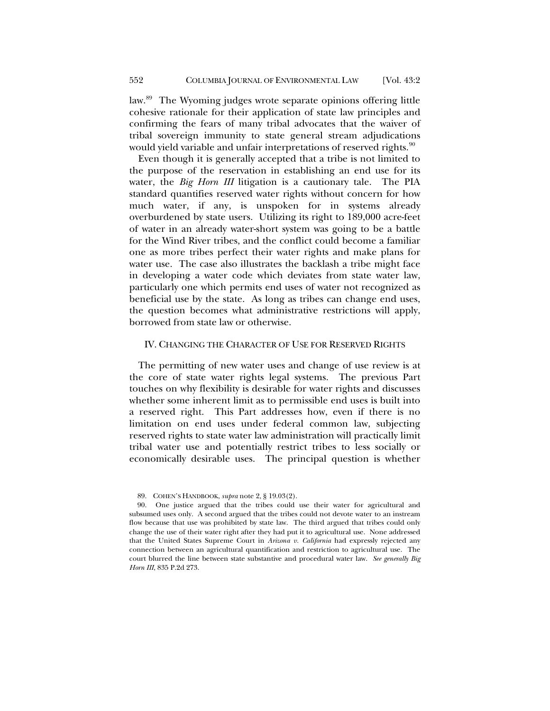law.[89](#page-19-0) The Wyoming judges wrote separate opinions offering little cohesive rationale for their application of state law principles and confirming the fears of many tribal advocates that the waiver of tribal sovereign immunity to state general stream adjudications would yield variable and unfair interpretations of reserved rights.<sup>[90](#page-19-1)</sup>

Even though it is generally accepted that a tribe is not limited to the purpose of the reservation in establishing an end use for its water, the *Big Horn III* litigation is a cautionary tale. The PIA standard quantifies reserved water rights without concern for how much water, if any, is unspoken for in systems already overburdened by state users. Utilizing its right to 189,000 acre-feet of water in an already water-short system was going to be a battle for the Wind River tribes, and the conflict could become a familiar one as more tribes perfect their water rights and make plans for water use. The case also illustrates the backlash a tribe might face in developing a water code which deviates from state water law, particularly one which permits end uses of water not recognized as beneficial use by the state. As long as tribes can change end uses, the question becomes what administrative restrictions will apply, borrowed from state law or otherwise.

## IV. CHANGING THE CHARACTER OF USE FOR RESERVED RIGHTS

The permitting of new water uses and change of use review is at the core of state water rights legal systems. The previous Part touches on why flexibility is desirable for water rights and discusses whether some inherent limit as to permissible end uses is built into a reserved right. This Part addresses how, even if there is no limitation on end uses under federal common law, subjecting reserved rights to state water law administration will practically limit tribal water use and potentially restrict tribes to less socially or economically desirable uses. The principal question is whether

<sup>89.</sup> COHEN'S HANDBOOK, *supra* not[e 2,](#page-1-7) § 19.03(2).

<span id="page-19-1"></span><span id="page-19-0"></span><sup>90.</sup> One justice argued that the tribes could use their water for agricultural and subsumed uses only. A second argued that the tribes could not devote water to an instream flow because that use was prohibited by state law. The third argued that tribes could only change the use of their water right after they had put it to agricultural use. None addressed that the United States Supreme Court in *Arizona v. California* had expressly rejected any connection between an agricultural quantification and restriction to agricultural use. The court blurred the line between state substantive and procedural water law. *See generally Big Horn III*, 835 P.2d 273.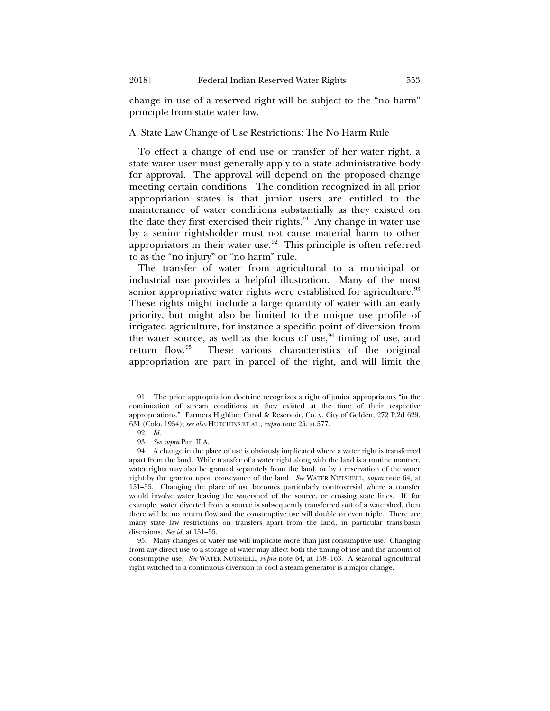change in use of a reserved right will be subject to the "no harm" principle from state water law.

## A. State Law Change of Use Restrictions: The No Harm Rule

To effect a change of end use or transfer of her water right, a state water user must generally apply to a state administrative body for approval. The approval will depend on the proposed change meeting certain conditions.The condition recognized in all prior appropriation states is that junior users are entitled to the maintenance of water conditions substantially as they existed on the date they first exercised their rights. $91$  Any change in water use by a senior rightsholder must not cause material harm to other appropriators in their water use. $92$  This principle is often referred to as the "no injury" or "no harm" rule.

The transfer of water from agricultural to a municipal or industrial use provides a helpful illustration. Many of the most senior appropriative water rights were established for agriculture. $93$ These rights might include a large quantity of water with an early priority, but might also be limited to the unique use profile of irrigated agriculture, for instance a specific point of diversion from the water source, as well as the locus of use, $94$  timing of use, and return flow.[95](#page-20-6) These various characteristics of the original appropriation are part in parcel of the right, and will limit the

<span id="page-20-5"></span><span id="page-20-4"></span><span id="page-20-3"></span>94. A change in the place of use is obviously implicated where a water right is transferred apart from the land. While transfer of a water right along with the land is a routine manner, water rights may also be granted separately from the land, or by a reservation of the water right by the grantor upon conveyance of the land. *See* WATER NUTSHELL, *supra* note [64,](#page-14-5) at 151–55. Changing the place of use becomes particularly controversial where a transfer would involve water leaving the watershed of the source, or crossing state lines. If, for example, water diverted from a source is subsequently transferred out of a watershed, then there will be no return flow and the consumptive use will double or even triple. There are many state law restrictions on transfers apart from the land, in particular trans-basin diversions. *See id.* at 151–55.

<span id="page-20-6"></span>95. Many changes of water use will implicate more than just consumptive use. Changing from any direct use to a storage of water may affect both the timing of use and the amount of consumptive use. *See* WATER NUTSHELL, *supra* note [64,](#page-14-5) at 158–163. A seasonal agricultural right switched to a continuous diversion to cool a steam generator is a major change.

<span id="page-20-2"></span><span id="page-20-1"></span><span id="page-20-0"></span><sup>91.</sup> The prior appropriation doctrine recognizes a right of junior appropriators "in the continuation of stream conditions as they existed at the time of their respective appropriations." Farmers Highline Canal & Reservoir, Co. v. City of Golden, 272 P.2d 629, 631 (Colo. 1954); *see also* HUTCHINS ET AL., *supra* note [25,](#page-6-10) at 577.

<sup>92.</sup> *Id.* 

<sup>93.</sup> *See supra* Part II.A.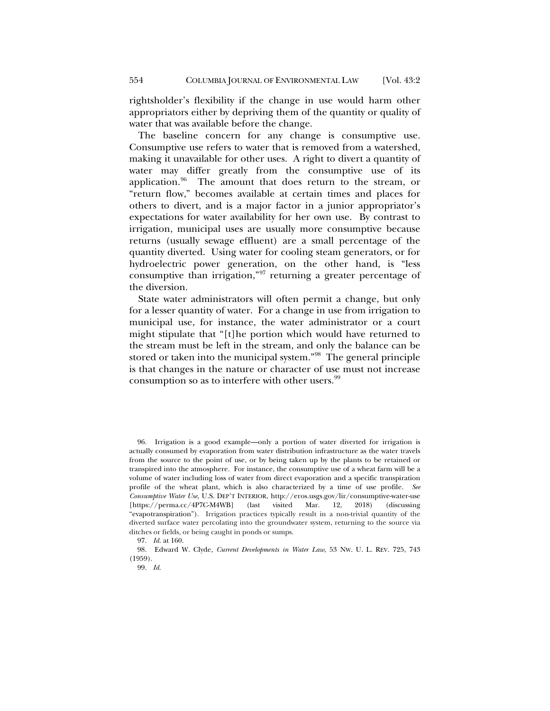rightsholder's flexibility if the change in use would harm other appropriators either by depriving them of the quantity or quality of water that was available before the change.

The baseline concern for any change is consumptive use. Consumptive use refers to water that is removed from a watershed, making it unavailable for other uses. A right to divert a quantity of water may differ greatly from the consumptive use of its application.<sup>96</sup> The amount that does return to the stream, or "return flow," becomes available at certain times and places for others to divert, and is a major factor in a junior appropriator's expectations for water availability for her own use. By contrast to irrigation, municipal uses are usually more consumptive because returns (usually sewage effluent) are a small percentage of the quantity diverted. Using water for cooling steam generators, or for hydroelectric power generation, on the other hand, is "less consumptive than irrigation,"[97](#page-21-1) returning a greater percentage of the diversion.

State water administrators will often permit a change, but only for a lesser quantity of water. For a change in use from irrigation to municipal use, for instance, the water administrator or a court might stipulate that "[t]he portion which would have returned to the stream must be left in the stream, and only the balance can be stored or taken into the municipal system."[98](#page-21-2) The general principle is that changes in the nature or character of use must not increase consumption so as to interfere with other users.<sup>[99](#page-21-3)</sup>

<span id="page-21-0"></span>96. Irrigation is a good example—only a portion of water diverted for irrigation is actually consumed by evaporation from water distribution infrastructure as the water travels from the source to the point of use, or by being taken up by the plants to be retained or transpired into the atmosphere. For instance, the consumptive use of a wheat farm will be a volume of water including loss of water from direct evaporation and a specific transpiration profile of the wheat plant, which is also characterized by a time of use profile. *See Consumptive Water Use*, U.S. DEP'T INTERIOR, http://eros.usgs.gov/lir/consumptive-water-use [https://perma.cc/4P7C-M4WB] (last visited Mar. 12, 2018) (discussing "evapotranspiration"). Irrigation practices typically result in a non-trivial quantity of the diverted surface water percolating into the groundwater system, returning to the source via ditches or fields, or being caught in ponds or sumps.

<span id="page-21-3"></span><span id="page-21-2"></span><span id="page-21-1"></span>98. Edward W. Clyde, *Current Developments in Water Law*, 53 NW. U. L. REV. 725, 743 (1959).

99. *Id*.

<sup>97.</sup> *Id.* at 160.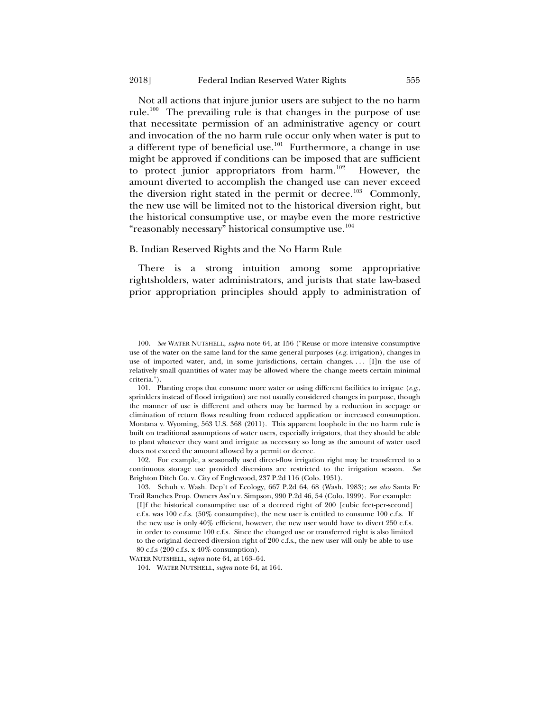Not all actions that injure junior users are subject to the no harm rule.[100](#page-22-0) The prevailing rule is that changes in the purpose of use that necessitate permission of an administrative agency or court and invocation of the no harm rule occur only when water is put to a different type of beneficial use.<sup>[101](#page-22-1)</sup> Furthermore, a change in use might be approved if conditions can be imposed that are sufficient to protect junior appropriators from harm.<sup>[102](#page-22-2)</sup> However, the amount diverted to accomplish the changed use can never exceed the diversion right stated in the permit or decree.<sup>[103](#page-22-3)</sup> Commonly, the new use will be limited not to the historical diversion right, but the historical consumptive use, or maybe even the more restrictive "reasonably necessary" historical consumptive use.<sup>[104](#page-22-4)</sup>

#### B. Indian Reserved Rights and the No Harm Rule

There is a strong intuition among some appropriative rightsholders, water administrators, and jurists that state law-based prior appropriation principles should apply to administration of

<span id="page-22-1"></span>101. Planting crops that consume more water or using different facilities to irrigate (*e.g.*, sprinklers instead of flood irrigation) are not usually considered changes in purpose, though the manner of use is different and others may be harmed by a reduction in seepage or elimination of return flows resulting from reduced application or increased consumption. Montana v. Wyoming, 563 U.S. 368 (2011). This apparent loophole in the no harm rule is built on traditional assumptions of water users, especially irrigators, that they should be able to plant whatever they want and irrigate as necessary so long as the amount of water used does not exceed the amount allowed by a permit or decree.

<span id="page-22-2"></span>102. For example, a seasonally used direct-flow irrigation right may be transferred to a continuous storage use provided diversions are restricted to the irrigation season. *See*  Brighton Ditch Co. v. City of Englewood, 237 P.2d 116 (Colo. 1951).

<span id="page-22-3"></span>103. Schuh v. Wash. Dep't of Ecology, 667 P.2d 64, 68 (Wash. 1983); *see also* Santa Fe Trail Ranches Prop. Owners Ass'n v. Simpson, 990 P.2d 46, 54 (Colo. 1999). For example:

[I]f the historical consumptive use of a decreed right of 200 [cubic feet-per-second] c.f.s. was 100 c.f.s. (50% consumptive), the new user is entitled to consume 100 c.f.s. If the new use is only  $40\%$  efficient, however, the new user would have to divert 250 c.f.s. in order to consume 100 c.f.s. Since the changed use or transferred right is also limited to the original decreed diversion right of 200 c.f.s., the new user will only be able to use 80 c.f.s (200 c.f.s. x 40% consumption).

<span id="page-22-4"></span>WATER NUTSHELL, *supra* not[e 64,](#page-14-5) at 163–64.

104. WATER NUTSHELL, *supra* not[e 64,](#page-14-5) at 164.

<span id="page-22-0"></span><sup>100.</sup> *See* WATER NUTSHELL, *supra* not[e 64,](#page-14-5) at 156 ("Reuse or more intensive consumptive use of the water on the same land for the same general purposes (*e.g.* irrigation), changes in use of imported water, and, in some jurisdictions, certain changes.... [I]n the use of relatively small quantities of water may be allowed where the change meets certain minimal criteria.").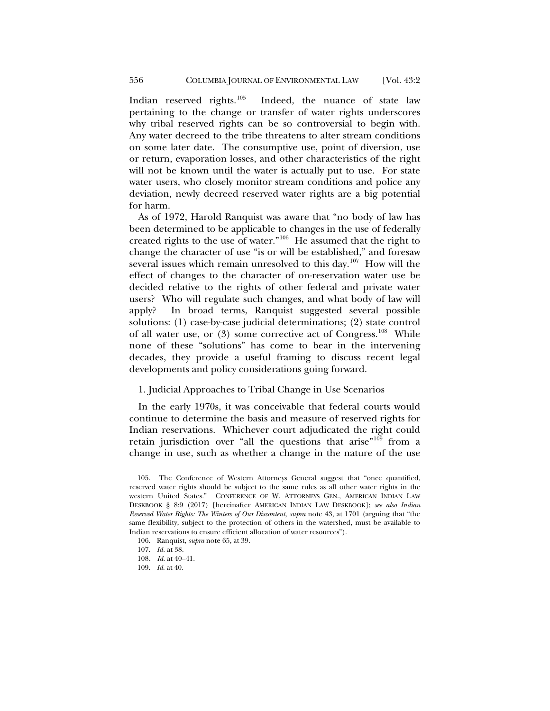<span id="page-23-5"></span>Indian reserved rights. $105$  Indeed, the nuance of state law pertaining to the change or transfer of water rights underscores why tribal reserved rights can be so controversial to begin with. Any water decreed to the tribe threatens to alter stream conditions on some later date. The consumptive use, point of diversion, use or return, evaporation losses, and other characteristics of the right will not be known until the water is actually put to use. For state water users, who closely monitor stream conditions and police any deviation, newly decreed reserved water rights are a big potential for harm.

As of 1972, Harold Ranquist was aware that "no body of law has been determined to be applicable to changes in the use of federally created rights to the use of water."[106](#page-23-1) He assumed that the right to change the character of use "is or will be established," and foresaw several issues which remain unresolved to this day.<sup>107</sup> How will the effect of changes to the character of on-reservation water use be decided relative to the rights of other federal and private water users? Who will regulate such changes, and what body of law will apply? In broad terms, Ranquist suggested several possible solutions: (1) case-by-case judicial determinations; (2) state control of all water use, or  $(3)$  some corrective act of Congress.<sup>[108](#page-23-3)</sup> While none of these "solutions" has come to bear in the intervening decades, they provide a useful framing to discuss recent legal developments and policy considerations going forward.

## 1. Judicial Approaches to Tribal Change in Use Scenarios

In the early 1970s, it was conceivable that federal courts would continue to determine the basis and measure of reserved rights for Indian reservations. Whichever court adjudicated the right could retain jurisdiction over "all the questions that arise"[109](#page-23-4) from a change in use, such as whether a change in the nature of the use

<span id="page-23-4"></span>109. *Id*. at 40.

<span id="page-23-0"></span><sup>105.</sup> The Conference of Western Attorneys General suggest that "once quantified, reserved water rights should be subject to the same rules as all other water rights in the western United States." CONFERENCE OF W. ATTORNEYS GEN., AMERICAN INDIAN LAW DESKBOOK § 8:9 (2017) [hereinafter AMERICAN INDIAN LAW DESKBOOK]; *see also Indian Reserved Water Rights: The Winters of Our Discontent*, *supra* note [43,](#page-10-7) at 1701 (arguing that "the same flexibility, subject to the protection of others in the watershed, must be available to Indian reservations to ensure efficient allocation of water resources").

<span id="page-23-2"></span><span id="page-23-1"></span><sup>106.</sup> Ranquist, *supra* not[e 65,](#page-14-0) at 39.

<sup>107.</sup> *Id.* at 38.

<span id="page-23-3"></span><sup>108</sup>*. Id*. at 40–41.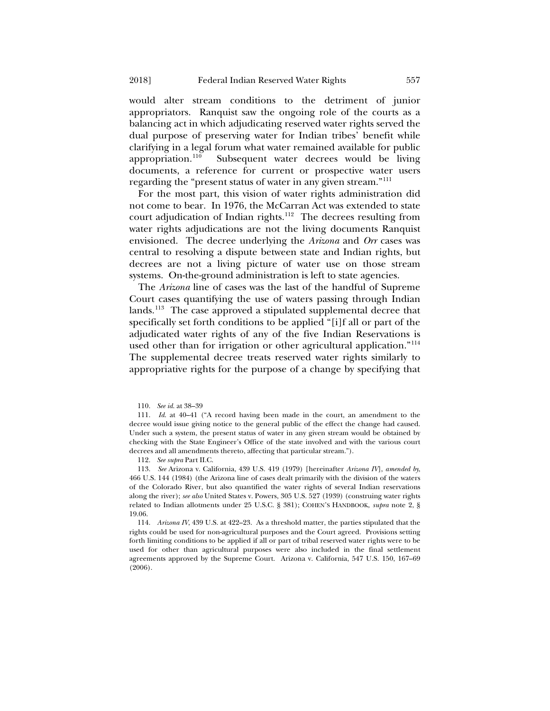would alter stream conditions to the detriment of junior appropriators. Ranquist saw the ongoing role of the courts as a balancing act in which adjudicating reserved water rights served the dual purpose of preserving water for Indian tribes' benefit while clarifying in a legal forum what water remained available for public appropriation.<sup>110</sup> Subsequent water decrees would be living documents, a reference for current or prospective water users regarding the "present status of water in any given stream."[111](#page-24-1)

For the most part, this vision of water rights administration did not come to bear. In 1976, the McCarran Act was extended to state court adjudication of Indian rights.<sup>[112](#page-24-2)</sup> The decrees resulting from water rights adjudications are not the living documents Ranquist envisioned. The decree underlying the *Arizona* and *Orr* cases was central to resolving a dispute between state and Indian rights, but decrees are not a living picture of water use on those stream systems. On-the-ground administration is left to state agencies.

The *Arizona* line of cases was the last of the handful of Supreme Court cases quantifying the use of waters passing through Indian lands.<sup>113</sup> The case approved a stipulated supplemental decree that specifically set forth conditions to be applied "[i]f all or part of the adjudicated water rights of any of the five Indian Reservations is used other than for irrigation or other agricultural application."<sup>[114](#page-24-4)</sup> The supplemental decree treats reserved water rights similarly to appropriative rights for the purpose of a change by specifying that

112. *See supra* Part II.C.

<span id="page-24-3"></span><span id="page-24-2"></span>113. *See* Arizona v. California, 439 U.S. 419 (1979) [hereinafter *Arizona IV*], *amended by*, 466 U.S. 144 (1984) (the Arizona line of cases dealt primarily with the division of the waters of the Colorado River, but also quantified the water rights of several Indian reservations along the river); *see also* United States v. Powers, 305 U.S. 527 (1939) (construing water rights related to Indian allotments under 25 U.S.C. § 381); COHEN'S HANDBOOK, *supra* note [2,](#page-1-7) § 19.06.

<span id="page-24-4"></span>114. *Arizona IV*, 439 U.S. at 422–23. As a threshold matter, the parties stipulated that the rights could be used for non-agricultural purposes and the Court agreed. Provisions setting forth limiting conditions to be applied if all or part of tribal reserved water rights were to be used for other than agricultural purposes were also included in the final settlement agreements approved by the Supreme Court. Arizona v. California, 547 U.S. 150, 167–69 (2006).

<sup>110.</sup> *See id*. at 38–39

<span id="page-24-1"></span><span id="page-24-0"></span><sup>111.</sup> *Id*. at 40–41 ("A record having been made in the court, an amendment to the decree would issue giving notice to the general public of the effect the change had caused. Under such a system, the present status of water in any given stream would be obtained by checking with the State Engineer's Office of the state involved and with the various court decrees and all amendments thereto, affecting that particular stream.").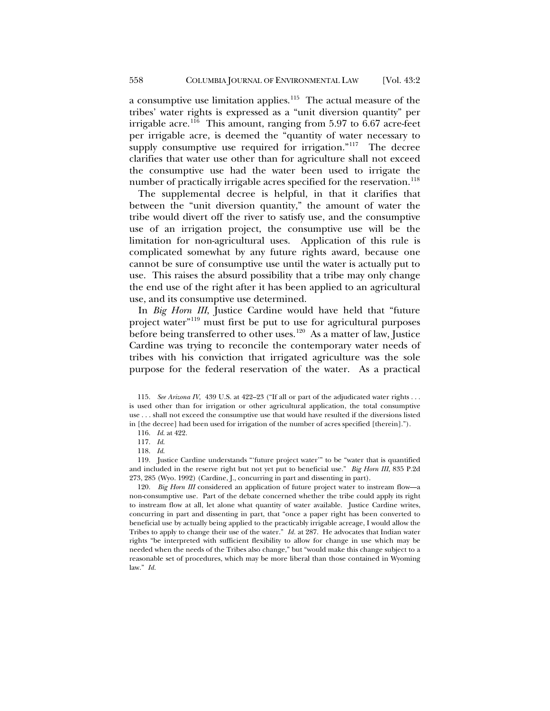a consumptive use limitation applies.[115](#page-25-2) The actual measure of the tribes' water rights is expressed as a "unit diversion quantity" per irrigable acre.<sup>[116](#page-25-3)</sup> This amount, ranging from 5.97 to 6.67 acre-feet per irrigable acre, is deemed the "quantity of water necessary to supply consumptive use required for irrigation."<sup>[117](#page-25-4)</sup> The decree clarifies that water use other than for agriculture shall not exceed the consumptive use had the water been used to irrigate the number of practically irrigable acres specified for the reservation.<sup>[118](#page-25-5)</sup>

The supplemental decree is helpful, in that it clarifies that between the "unit diversion quantity," the amount of water the tribe would divert off the river to satisfy use, and the consumptive use of an irrigation project, the consumptive use will be the limitation for non-agricultural uses. Application of this rule is complicated somewhat by any future rights award, because one cannot be sure of consumptive use until the water is actually put to use. This raises the absurd possibility that a tribe may only change the end use of the right after it has been applied to an agricultural use, and its consumptive use determined.

<span id="page-25-1"></span><span id="page-25-0"></span>In *Big Horn III*, Justice Cardine would have held that "future project water<sup>"[119](#page-25-6)</sup> must first be put to use for agricultural purposes before being transferred to other uses.<sup>120</sup> As a matter of law, Justice Cardine was trying to reconcile the contemporary water needs of tribes with his conviction that irrigated agriculture was the sole purpose for the federal reservation of the water. As a practical

<span id="page-25-6"></span><span id="page-25-5"></span><span id="page-25-4"></span><span id="page-25-3"></span>119. Justice Cardine understands "'future project water'" to be "water that is quantified and included in the reserve right but not yet put to beneficial use." *Big Horn III*, 835 P.2d 273, 285 (Wyo. 1992) (Cardine, J., concurring in part and dissenting in part).

<span id="page-25-7"></span>120. *Big Horn III* considered an application of future project water to instream flow—a non-consumptive use. Part of the debate concerned whether the tribe could apply its right to instream flow at all, let alone what quantity of water available. Justice Cardine writes, concurring in part and dissenting in part, that "once a paper right has been converted to beneficial use by actually being applied to the practicably irrigable acreage, I would allow the Tribes to apply to change their use of the water." *Id.* at 287. He advocates that Indian water rights "be interpreted with sufficient flexibility to allow for change in use which may be needed when the needs of the Tribes also change," but "would make this change subject to a reasonable set of procedures, which may be more liberal than those contained in Wyoming law." *Id.*

<span id="page-25-2"></span><sup>115.</sup> *See Arizona IV*, 439 U.S. at 422–23 ("If all or part of the adjudicated water rights . . . is used other than for irrigation or other agricultural application, the total consumptive use . . . shall not exceed the consumptive use that would have resulted if the diversions listed in [the decree] had been used for irrigation of the number of acres specified [therein].").

<sup>116.</sup> *Id*. at 422.

<sup>117.</sup> *Id*.

<sup>118.</sup> *Id*.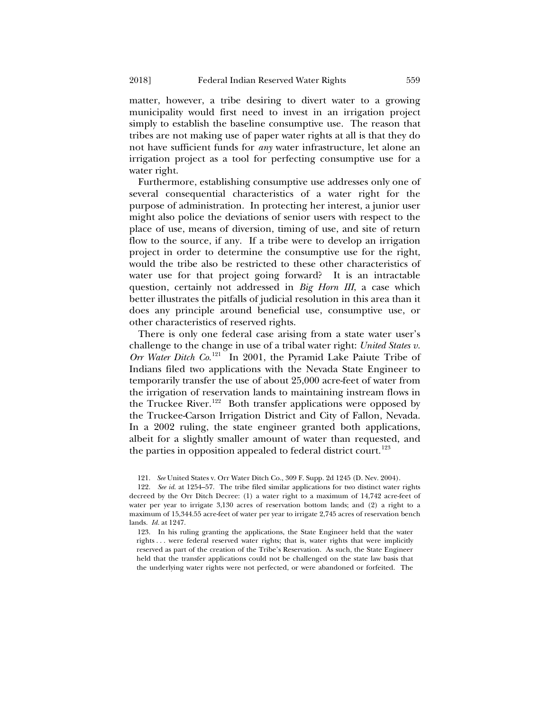matter, however, a tribe desiring to divert water to a growing municipality would first need to invest in an irrigation project simply to establish the baseline consumptive use. The reason that tribes are not making use of paper water rights at all is that they do not have sufficient funds for *any* water infrastructure, let alone an irrigation project as a tool for perfecting consumptive use for a water right.

Furthermore, establishing consumptive use addresses only one of several consequential characteristics of a water right for the purpose of administration. In protecting her interest, a junior user might also police the deviations of senior users with respect to the place of use, means of diversion, timing of use, and site of return flow to the source, if any. If a tribe were to develop an irrigation project in order to determine the consumptive use for the right, would the tribe also be restricted to these other characteristics of water use for that project going forward? It is an intractable question, certainly not addressed in *Big Horn III*, a case which better illustrates the pitfalls of judicial resolution in this area than it does any principle around beneficial use, consumptive use, or other characteristics of reserved rights.

There is only one federal case arising from a state water user's challenge to the change in use of a tribal water right: *United States v. Orr Water Ditch Co.*<sup>[121](#page-26-0)</sup> In 2001, the Pyramid Lake Paiute Tribe of Indians filed two applications with the Nevada State Engineer to temporarily transfer the use of about 25,000 acre-feet of water from the irrigation of reservation lands to maintaining instream flows in the Truckee River.<sup>[122](#page-26-1)</sup> Both transfer applications were opposed by the Truckee-Carson Irrigation District and City of Fallon, Nevada. In a 2002 ruling, the state engineer granted both applications, albeit for a slightly smaller amount of water than requested, and the parties in opposition appealed to federal district court.<sup>[123](#page-26-2)</sup>

121. *See* United States v. Orr Water Ditch Co., 309 F. Supp. 2d 1245 (D. Nev. 2004).

<span id="page-26-1"></span><span id="page-26-0"></span>122. *See id*. at 1254–57. The tribe filed similar applications for two distinct water rights decreed by the Orr Ditch Decree: (1) a water right to a maximum of 14,742 acre-feet of water per year to irrigate 3,130 acres of reservation bottom lands; and (2) a right to a maximum of 15,344.55 acre-feet of water per year to irrigate 2,745 acres of reservation bench lands. *Id.* at 1247.

<span id="page-26-2"></span>123. In his ruling granting the applications, the State Engineer held that the water rights . . . were federal reserved water rights; that is, water rights that were implicitly reserved as part of the creation of the Tribe's Reservation. As such, the State Engineer held that the transfer applications could not be challenged on the state law basis that the underlying water rights were not perfected, or were abandoned or forfeited. The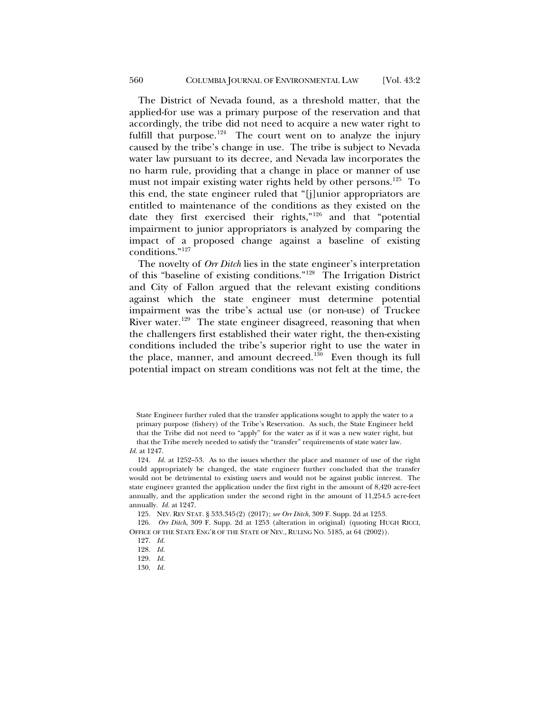The District of Nevada found, as a threshold matter, that the applied-for use was a primary purpose of the reservation and that accordingly, the tribe did not need to acquire a new water right to fulfill that purpose. $124$  The court went on to analyze the injury caused by the tribe's change in use. The tribe is subject to Nevada water law pursuant to its decree, and Nevada law incorporates the no harm rule, providing that a change in place or manner of use must not impair existing water rights held by other persons.<sup>[125](#page-27-1)</sup> To this end, the state engineer ruled that "[j]unior appropriators are entitled to maintenance of the conditions as they existed on the date they first exercised their rights,"[126](#page-27-2) and that "potential impairment to junior appropriators is analyzed by comparing the impact of a proposed change against a baseline of existing conditions."[127](#page-27-3)

The novelty of *Orr Ditch* lies in the state engineer's interpretation of this "baseline of existing conditions."[128](#page-27-4) The Irrigation District and City of Fallon argued that the relevant existing conditions against which the state engineer must determine potential impairment was the tribe's actual use (or non-use) of Truckee River water.<sup>129</sup> The state engineer disagreed, reasoning that when the challengers first established their water right, the then-existing conditions included the tribe's superior right to use the water in the place, manner, and amount decreed.<sup>130</sup> Even though its full potential impact on stream conditions was not felt at the time, the

<span id="page-27-0"></span>124. *Id.* at 1252–53. As to the issues whether the place and manner of use of the right could appropriately be changed, the state engineer further concluded that the transfer would not be detrimental to existing users and would not be against public interest. The state engineer granted the application under the first right in the amount of 8,420 acre-feet annually, and the application under the second right in the amount of 11,254.5 acre-feet annually. *Id.* at 1247.

125. NEV. REV STAT. § 533.345(2) (2017); *see Orr Ditch*, 309 F. Supp. 2d at 1253.

<span id="page-27-6"></span><span id="page-27-5"></span><span id="page-27-4"></span><span id="page-27-3"></span><span id="page-27-2"></span><span id="page-27-1"></span>126. *Orr Ditch*, 309 F. Supp. 2d at 1253 (alteration in original) (quoting HUGH RICCI, OFFICE OF THE STATE ENG'R OF THE STATE OF NEV., RULING NO. 5185, at 64 (2002)).

State Engineer further ruled that the transfer applications sought to apply the water to a primary purpose (fishery) of the Tribe's Reservation. As such, the State Engineer held that the Tribe did not need to "apply" for the water as if it was a new water right, but that the Tribe merely needed to satisfy the "transfer" requirements of state water law. *Id.* at 1247.

<sup>127.</sup> *Id.* 

<sup>128.</sup> *Id.*

<sup>129.</sup> *Id.*

<sup>130.</sup> *Id.*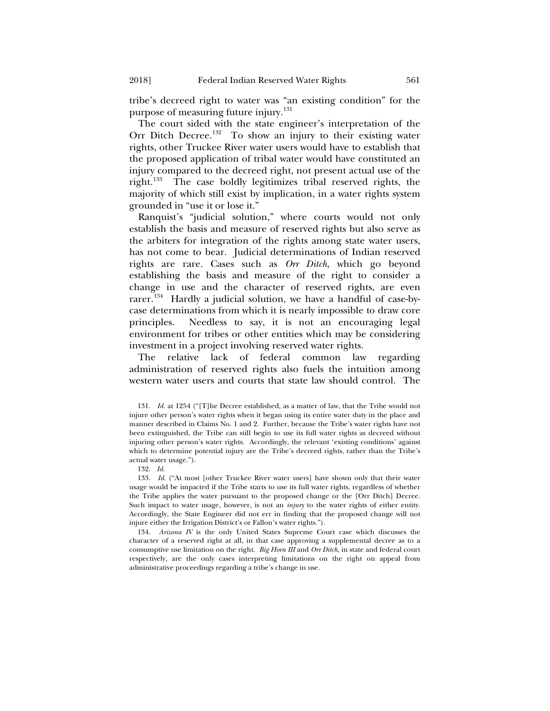tribe's decreed right to water was "an existing condition" for the purpose of measuring future injury.<sup>[131](#page-28-0)</sup>

The court sided with the state engineer's interpretation of the Orr Ditch Decree.<sup>132</sup> To show an injury to their existing water rights, other Truckee River water users would have to establish that the proposed application of tribal water would have constituted an injury compared to the decreed right, not present actual use of the right.[133](#page-28-2) The case boldly legitimizes tribal reserved rights, the majority of which still exist by implication, in a water rights system grounded in "use it or lose it."

Ranquist's "judicial solution," where courts would not only establish the basis and measure of reserved rights but also serve as the arbiters for integration of the rights among state water users, has not come to bear. Judicial determinations of Indian reserved rights are rare. Cases such as *Orr Ditch*, which go beyond establishing the basis and measure of the right to consider a change in use and the character of reserved rights, are even rarer.[134](#page-28-3) Hardly a judicial solution, we have a handful of case-bycase determinations from which it is nearly impossible to draw core principles. Needless to say, it is not an encouraging legal environment for tribes or other entities which may be considering investment in a project involving reserved water rights.

The relative lack of federal common law regarding administration of reserved rights also fuels the intuition among western water users and courts that state law should control. The

132. *Id*.

<span id="page-28-2"></span><span id="page-28-1"></span>133. *Id*. ("At most [other Truckee River water users] have shown only that their water usage would be impacted if the Tribe starts to use its full water rights, regardless of whether the Tribe applies the water pursuant to the proposed change or the [Orr Ditch] Decree. Such impact to water usage, however, is not an *injury* to the water rights of either entity. Accordingly, the State Engineer did not err in finding that the proposed change will not injure either the Irrigation District's or Fallon's water rights.").

<span id="page-28-3"></span>134. *Arizona IV* is the only United States Supreme Court case which discusses the character of a reserved right at all, in that case approving a supplemental decree as to a consumptive use limitation on the right. *Big Horn III* and *Orr Ditch*, in state and federal court respectively, are the only cases interpreting limitations on the right on appeal from administrative proceedings regarding a tribe's change in use.

<span id="page-28-0"></span><sup>131.</sup> *Id.* at 1254 ("[T]he Decree established, as a matter of law, that the Tribe would not injure other person's water rights when it began using its entire water duty in the place and manner described in Claims No. 1 and 2. Further, because the Tribe's water rights have not been extinguished, the Tribe can still begin to use its full water rights as decreed without injuring other person's water rights. Accordingly, the relevant 'existing conditions' against which to determine potential injury are the Tribe's decreed rights, rather than the Tribe's actual water usage.").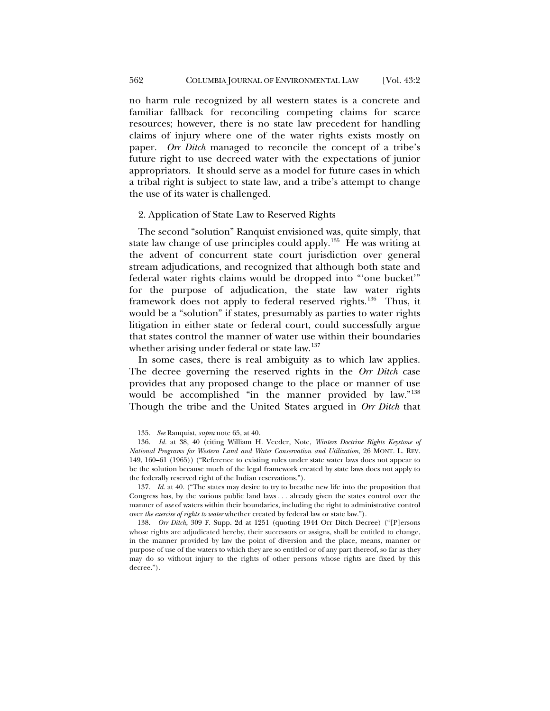no harm rule recognized by all western states is a concrete and familiar fallback for reconciling competing claims for scarce resources; however, there is no state law precedent for handling claims of injury where one of the water rights exists mostly on paper. *Orr Ditch* managed to reconcile the concept of a tribe's future right to use decreed water with the expectations of junior appropriators. It should serve as a model for future cases in which a tribal right is subject to state law, and a tribe's attempt to change the use of its water is challenged.

## 2. Application of State Law to Reserved Rights

The second "solution" Ranquist envisioned was, quite simply, that state law change of use principles could apply.[135](#page-29-0) He was writing at the advent of concurrent state court jurisdiction over general stream adjudications, and recognized that although both state and federal water rights claims would be dropped into "'one bucket'" for the purpose of adjudication, the state law water rights framework does not apply to federal reserved rights.<sup>[136](#page-29-1)</sup> Thus, it would be a "solution" if states, presumably as parties to water rights litigation in either state or federal court, could successfully argue that states control the manner of water use within their boundaries whether arising under federal or state law.<sup>[137](#page-29-2)</sup>

In some cases, there is real ambiguity as to which law applies. The decree governing the reserved rights in the *Orr Ditch* case provides that any proposed change to the place or manner of use would be accomplished "in the manner provided by law."[138](#page-29-3) Though the tribe and the United States argued in *Orr Ditch* that

<span id="page-29-2"></span>137. *Id.* at 40. ("The states may desire to try to breathe new life into the proposition that Congress has, by the various public land laws . . . already given the states control over the manner of *use* of waters within their boundaries, including the right to administrative control over *the exercise of rights to water* whether created by federal law or state law.").

<span id="page-29-3"></span>138. *Orr Ditch*, 309 F. Supp. 2d at 1251 (quoting 1944 Orr Ditch Decree) ("[P]ersons whose rights are adjudicated hereby, their successors or assigns, shall be entitled to change, in the manner provided by law the point of diversion and the place, means, manner or purpose of use of the waters to which they are so entitled or of any part thereof, so far as they may do so without injury to the rights of other persons whose rights are fixed by this decree.").

<sup>135.</sup> *See* Ranquist, *supra* not[e 65,](#page-14-0) at 40.

<span id="page-29-1"></span><span id="page-29-0"></span><sup>136.</sup> *Id.* at 38, 40 (citing William H. Veeder, Note, *Winters Doctrine Rights Keystone of National Programs for Western Land and Water Conservation and Utilization*, 26 MONT. L. REV. 149, 160–61 (1965)) ("Reference to existing rules under state water laws does not appear to be the solution because much of the legal framework created by state laws does not apply to the federally reserved right of the Indian reservations.").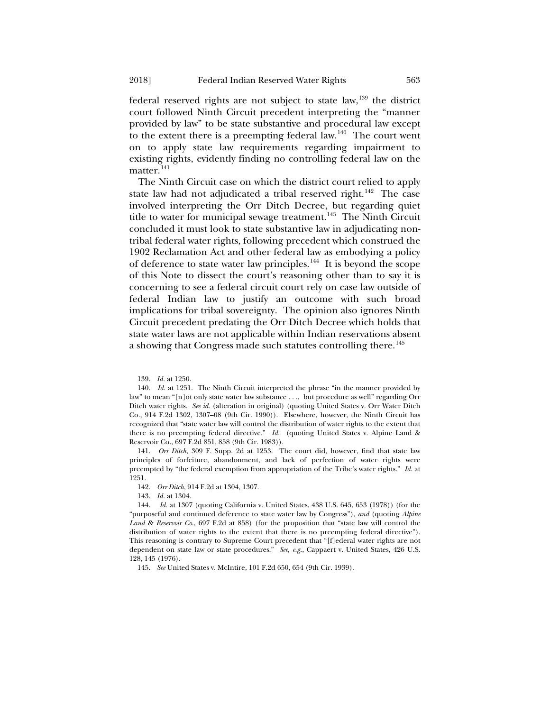federal reserved rights are not subject to state  $law<sub>139</sub>$  $law<sub>139</sub>$  $law<sub>139</sub>$ , the district court followed Ninth Circuit precedent interpreting the "manner provided by law" to be state substantive and procedural law except to the extent there is a preempting federal law.<sup>140</sup> The court went on to apply state law requirements regarding impairment to existing rights, evidently finding no controlling federal law on the matter.<sup>[141](#page-30-2)</sup>

The Ninth Circuit case on which the district court relied to apply state law had not adjudicated a tribal reserved right.<sup>[142](#page-30-3)</sup> The case involved interpreting the Orr Ditch Decree, but regarding quiet title to water for municipal sewage treatment.<sup>[143](#page-30-4)</sup> The Ninth Circuit concluded it must look to state substantive law in adjudicating nontribal federal water rights, following precedent which construed the 1902 Reclamation Act and other federal law as embodying a policy of deference to state water law principles.<sup>[144](#page-30-5)</sup> It is beyond the scope of this Note to dissect the court's reasoning other than to say it is concerning to see a federal circuit court rely on case law outside of federal Indian law to justify an outcome with such broad implications for tribal sovereignty. The opinion also ignores Ninth Circuit precedent predating the Orr Ditch Decree which holds that state water laws are not applicable within Indian reservations absent a showing that Congress made such statutes controlling there.<sup>[145](#page-30-6)</sup>

139. *Id.* at 1250.

<span id="page-30-2"></span>141. *Orr Ditch*, 309 F. Supp. 2d at 1253. The court did, however, find that state law principles of forfeiture, abandonment, and lack of perfection of water rights were preempted by "the federal exemption from appropriation of the Tribe's water rights." *Id*. at 1251.

142. *Orr Ditch*, 914 F.2d at 1304, 1307.

143. *Id.* at 1304.

<span id="page-30-5"></span><span id="page-30-4"></span><span id="page-30-3"></span>144. *Id*. at 1307 (quoting California v. United States, 438 U.S. 645, 653 (1978)) (for the "purposeful and continued deference to state water law by Congress"), *and* (quoting *Alpine Land & Reservoir Co*., 697 F.2d at 858) (for the proposition that "state law will control the distribution of water rights to the extent that there is no preempting federal directive"). This reasoning is contrary to Supreme Court precedent that "[f]ederal water rights are not dependent on state law or state procedures." *See, e.g.*, Cappaert v. United States, 426 U.S. 128, 145 (1976).

<span id="page-30-6"></span>145. *See* United States v. McIntire, 101 F.2d 650, 654 (9th Cir. 1939).

<span id="page-30-1"></span><span id="page-30-0"></span><sup>140.</sup> *Id.* at 1251. The Ninth Circuit interpreted the phrase "in the manner provided by law" to mean "[n]ot only state water law substance . . ., but procedure as well" regarding Orr Ditch water rights. *See id.* (alteration in original) (quoting United States v. Orr Water Ditch Co., 914 F.2d 1302, 1307–08 (9th Cir. 1990)). Elsewhere, however, the Ninth Circuit has recognized that "state water law will control the distribution of water rights to the extent that there is no preempting federal directive." *Id.* (quoting United States v. Alpine Land & Reservoir Co., 697 F.2d 851, 858 (9th Cir. 1983)).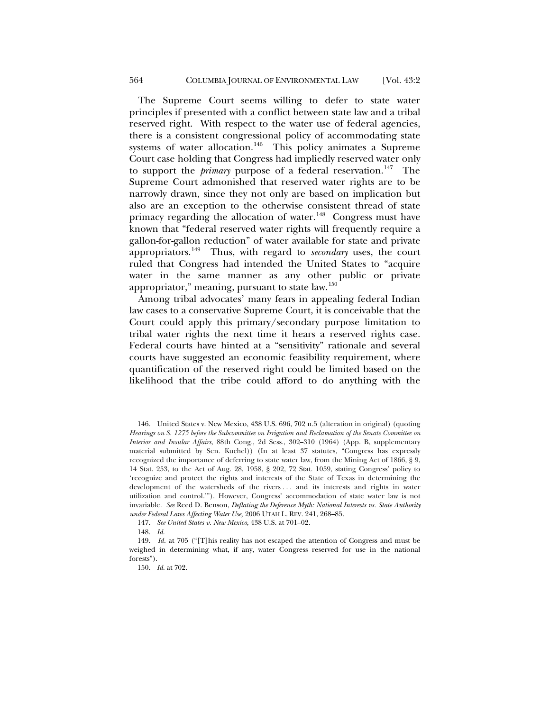The Supreme Court seems willing to defer to state water principles if presented with a conflict between state law and a tribal reserved right. With respect to the water use of federal agencies, there is a consistent congressional policy of accommodating state systems of water allocation.<sup>146</sup> This policy animates a Supreme Court case holding that Congress had impliedly reserved water only to support the *primary* purpose of a federal reservation.<sup>147</sup> The Supreme Court admonished that reserved water rights are to be narrowly drawn, since they not only are based on implication but also are an exception to the otherwise consistent thread of state primacy regarding the allocation of water.<sup>[148](#page-31-2)</sup> Congress must have known that "federal reserved water rights will frequently require a gallon-for-gallon reduction" of water available for state and private appropriators.[149](#page-31-3) Thus, with regard to *secondary* uses, the court ruled that Congress had intended the United States to "acquire water in the same manner as any other public or private appropriator," meaning, pursuant to state law.<sup>[150](#page-31-4)</sup>

Among tribal advocates' many fears in appealing federal Indian law cases to a conservative Supreme Court, it is conceivable that the Court could apply this primary/secondary purpose limitation to tribal water rights the next time it hears a reserved rights case. Federal courts have hinted at a "sensitivity" rationale and several courts have suggested an economic feasibility requirement, where quantification of the reserved right could be limited based on the likelihood that the tribe could afford to do anything with the

<span id="page-31-0"></span><sup>146.</sup> United States v. New Mexico, 438 U.S. 696, 702 n.5 (alteration in original) (quoting *Hearings on S. 1275 before the Subcommittee on Irrigation and Reclamation of the Senate Committee on Interior and Insular Affairs*, 88th Cong., 2d Sess., 302–310 (1964) (App. B, supplementary material submitted by Sen. Kuchel)) (In at least 37 statutes, "Congress has expressly recognized the importance of deferring to state water law, from the Mining Act of 1866, § 9, 14 Stat. 253, to the Act of Aug. 28, 1958, § 202, 72 Stat. 1059, stating Congress' policy to 'recognize and protect the rights and interests of the State of Texas in determining the development of the watersheds of the rivers . . . and its interests and rights in water utilization and control.'"). However, Congress' accommodation of state water law is not invariable. *See* Reed D. Benson, *Deflating the Deference Myth: National Interests vs. State Authority under Federal Laws Affecting Water Use,* 2006 UTAH L. REV. 241, 268–85.

<sup>147.</sup> *See United States v. New Mexico*, 438 U.S. at 701–02.

<sup>148.</sup> *Id*.

<span id="page-31-4"></span><span id="page-31-3"></span><span id="page-31-2"></span><span id="page-31-1"></span><sup>149.</sup> *Id.* at 705 ("[T]his reality has not escaped the attention of Congress and must be weighed in determining what, if any, water Congress reserved for use in the national forests").

<sup>150.</sup> *Id*. at 702.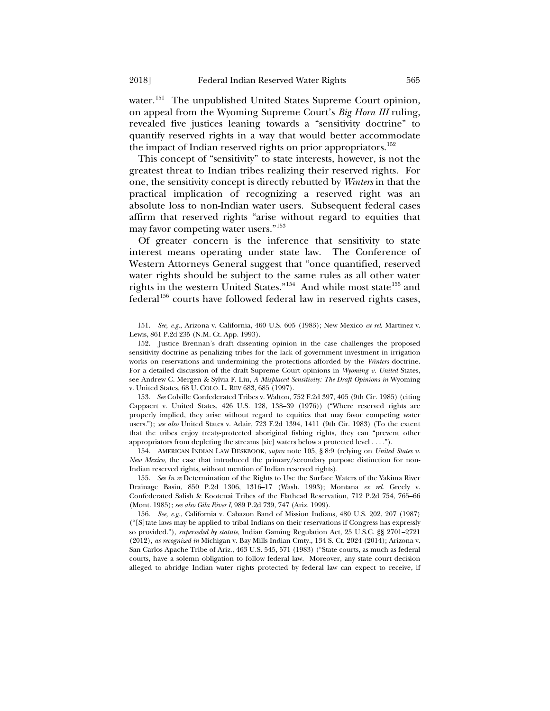water.<sup>[151](#page-32-0)</sup> The unpublished United States Supreme Court opinion, on appeal from the Wyoming Supreme Court's *Big Horn III* ruling, revealed five justices leaning towards a "sensitivity doctrine" to quantify reserved rights in a way that would better accommodate the impact of Indian reserved rights on prior appropriators.<sup>[152](#page-32-1)</sup>

This concept of "sensitivity" to state interests, however, is not the greatest threat to Indian tribes realizing their reserved rights. For one, the sensitivity concept is directly rebutted by *Winters* in that the practical implication of recognizing a reserved right was an absolute loss to non-Indian water users. Subsequent federal cases affirm that reserved rights "arise without regard to equities that may favor competing water users."[153](#page-32-2)

Of greater concern is the inference that sensitivity to state interest means operating under state law. The Conference of Western Attorneys General suggest that "once quantified, reserved water rights should be subject to the same rules as all other water rights in the western United States."<sup>154</sup> And while most state<sup>[155](#page-32-4)</sup> and federal<sup>[156](#page-32-5)</sup> courts have followed federal law in reserved rights cases,

<span id="page-32-0"></span>151. *See, e.g.*, Arizona v. California, 460 U.S. 605 (1983); New Mexico *ex rel*. Martinez v. Lewis, 861 P.2d 235 (N.M. Ct. App. 1993).

<span id="page-32-1"></span>152. Justice Brennan's draft dissenting opinion in the case challenges the proposed sensitivity doctrine as penalizing tribes for the lack of government investment in irrigation works on reservations and undermining the protections afforded by the *Winters* doctrine. For a detailed discussion of the draft Supreme Court opinions in *Wyoming v. United* States, see Andrew C. Mergen & Sylvia F. Liu, *A Misplaced Sensitivity: The Draft Opinions in* Wyoming v. United States, 68 U. COLO. L. REV 683, 685 (1997).

<span id="page-32-2"></span>153. *See* Colville Confederated Tribes v. Walton, 752 F.2d 397, 405 (9th Cir. 1985) (citing Cappaert v. United States, 426 U.S. 128, 138–39 (1976)) ("Where reserved rights are properly implied, they arise without regard to equities that may favor competing water users."); *see also* United States v. Adair, 723 F.2d 1394, 1411 (9th Cir. 1983) (To the extent that the tribes enjoy treaty-protected aboriginal fishing rights, they can "prevent other appropriators from depleting the streams [sic] waters below a protected level . . . .").

<span id="page-32-3"></span>154. AMERICAN INDIAN LAW DESKBOOK, *supra* note [105,](#page-23-5) § 8:9 (relying on *United States v. New Mexico*, the case that introduced the primary/secondary purpose distinction for non-Indian reserved rights, without mention of Indian reserved rights).

<span id="page-32-4"></span>155. *See In re* Determination of the Rights to Use the Surface Waters of the Yakima River Drainage Basin, 850 P.2d 1306, 1316–17 (Wash. 1993); Montana *ex rel.* Greely v. Confederated Salish & Kootenai Tribes of the Flathead Reservation, 712 P.2d 754, 765–66 (Mont. 1985); *see also Gila River I*, 989 P.2d 739, 747 (Ariz. 1999).

<span id="page-32-5"></span>156. *See, e.g.*, California v. Cabazon Band of Mission Indians, 480 U.S. 202, 207 (1987) ("[S]tate laws may be applied to tribal Indians on their reservations if Congress has expressly so provided."), *superseded by statute*, Indian Gaming Regulation Act, 25 U.S.C. §§ 2701–2721 (2012), *as recognized in* Michigan v. Bay Mills Indian Cmty., 134 S. Ct. 2024 (2014); Arizona v. San Carlos Apache Tribe of Ariz., 463 U.S. 545, 571 (1983) ("State courts, as much as federal courts, have a solemn obligation to follow federal law. Moreover, any state court decision alleged to abridge Indian water rights protected by federal law can expect to receive, if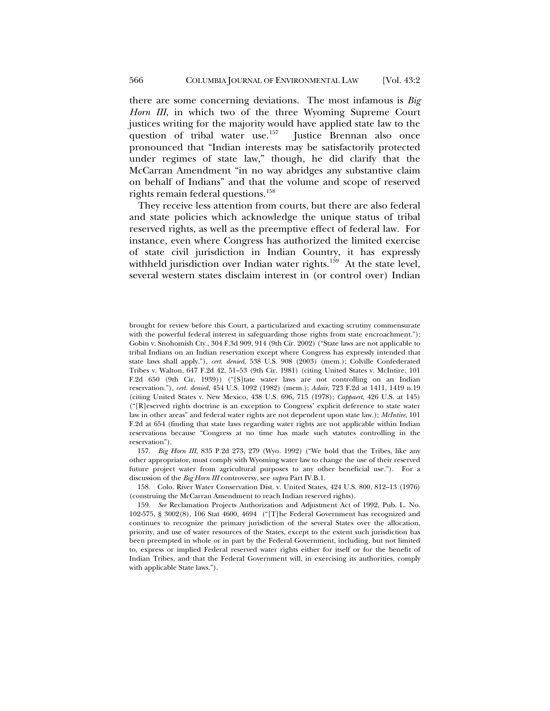there are some concerning deviations. The most infamous is *Big Horn III*, in which two of the three Wyoming Supreme Court justices writing for the majority would have applied state law to the question of tribal water use.<sup>157</sup> Justice Brennan also once pronounced that "Indian interests may be satisfactorily protected under regimes of state law," though, he did clarify that the McCarran Amendment "in no way abridges any substantive claim on behalf of Indians" and that the volume and scope of reserved rights remain federal questions.<sup>[158](#page-33-1)</sup>

They receive less attention from courts, but there are also federal and state policies which acknowledge the unique status of tribal reserved rights, as well as the preemptive effect of federal law. For instance, even where Congress has authorized the limited exercise of state civil jurisdiction in Indian Country, it has expressly withheld jurisdiction over Indian water rights.<sup>[159](#page-33-2)</sup> At the state level, several western states disclaim interest in (or control over) Indian

<span id="page-33-0"></span>157. *Big Horn III*, 835 P.2d 273, 279 (Wyo. 1992) ("We hold that the Tribes, like any other appropriator, must comply with Wyoming water law to change the use of their reserved future project water from agricultural purposes to any other beneficial use.").For a discussion of the *Big Horn III* controversy, see *supra* Part IV.B.1.

<span id="page-33-1"></span>158. Colo. River Water Conservation Dist. v. United States, 424 U.S. 800, 812–13 (1976) (construing the McCarran Amendment to reach Indian reserved rights).

<span id="page-33-2"></span>159. *See* Reclamation Projects Authorization and Adjustment Act of 1992, Pub. L. No. 102-575, § 3002(8), 106 Stat 4600, 4694 ("[T]he Federal Government has recognized and continues to recognize the primary jurisdiction of the several States over the allocation, priority, and use of water resources of the States, except to the extent such jurisdiction has been preempted in whole or in part by the Federal Government, including, but not limited to, express or implied Federal reserved water rights either for itself or for the benefit of Indian Tribes, and that the Federal Government will, in exercising its authorities, comply with applicable State laws.").

brought for review before this Court, a particularized and exacting scrutiny commensurate with the powerful federal interest in safeguarding those rights from state encroachment."); Gobin v. Snohomish Cty., 304 F.3d 909, 914 (9th Cir. 2002) ("State laws are not applicable to tribal Indians on an Indian reservation except where Congress has expressly intended that state laws shall apply."), *cert. denied*, 538 U.S. 908 (2003) (mem.); Colville Confederated Tribes v. Walton, 647 F.2d 42, 51–53 (9th Cir. 1981) (citing United States v. McIntire, 101 F.2d 650 (9th Cir. 1939)) ("[S]tate water laws are not controlling on an Indian reservation."), *cert. denied*, 454 U.S. 1092 (1982) (mem.); *Adair*, 723 F.2d at 1411, 1419 n.19 (citing United States v. New Mexico, 438 U.S. 696, 715 (1978); *Cappaert*, 426 U.S. at 145) ("[R]eserved rights doctrine is an exception to Congress' explicit deference to state water law in other areas" and federal water rights are not dependent upon state law.); *McIntire*, 101 F.2d at 654 (finding that state laws regarding water rights are not applicable within Indian reservations because "Congress at no time has made such statutes controlling in the reservation").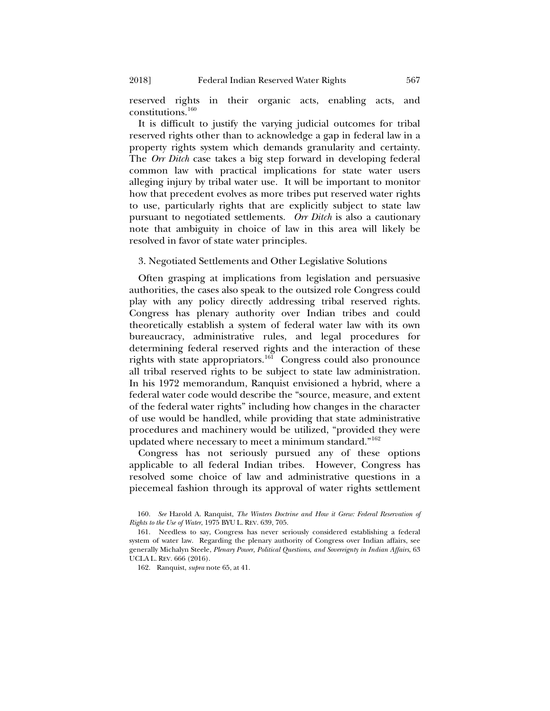reserved rights in their organic acts, enabling acts, and constitutions.[160](#page-34-0)

It is difficult to justify the varying judicial outcomes for tribal reserved rights other than to acknowledge a gap in federal law in a property rights system which demands granularity and certainty. The *Orr Ditch* case takes a big step forward in developing federal common law with practical implications for state water users alleging injury by tribal water use. It will be important to monitor how that precedent evolves as more tribes put reserved water rights to use, particularly rights that are explicitly subject to state law pursuant to negotiated settlements. *Orr Ditch* is also a cautionary note that ambiguity in choice of law in this area will likely be resolved in favor of state water principles.

3. Negotiated Settlements and Other Legislative Solutions

Often grasping at implications from legislation and persuasive authorities, the cases also speak to the outsized role Congress could play with any policy directly addressing tribal reserved rights. Congress has plenary authority over Indian tribes and could theoretically establish a system of federal water law with its own bureaucracy, administrative rules, and legal procedures for determining federal reserved rights and the interaction of these rights with state appropriators.<sup>161</sup> Congress could also pronounce all tribal reserved rights to be subject to state law administration. In his 1972 memorandum, Ranquist envisioned a hybrid, where a federal water code would describe the "source, measure, and extent of the federal water rights" including how changes in the character of use would be handled, while providing that state administrative procedures and machinery would be utilized, "provided they were updated where necessary to meet a minimum standard." $162$ 

Congress has not seriously pursued any of these options applicable to all federal Indian tribes. However, Congress has resolved some choice of law and administrative questions in a piecemeal fashion through its approval of water rights settlement

<span id="page-34-0"></span><sup>160.</sup> *See* Harold A. Ranquist, *The Winters Doctrine and How it Grew: Federal Reservation of Rights to the Use of Water*, 1975 BYU L. REV. 639, 705.

<span id="page-34-2"></span><span id="page-34-1"></span><sup>161.</sup> Needless to say, Congress has never seriously considered establishing a federal system of water law. Regarding the plenary authority of Congress over Indian affairs, see generally Michalyn Steele, *Plenary Power, Political Questions, and Sovereignty in Indian Affairs*, 63 UCLA L. REV. 666 (2016).

<sup>162.</sup> Ranquist, *supra* not[e 65,](#page-14-0) at 41.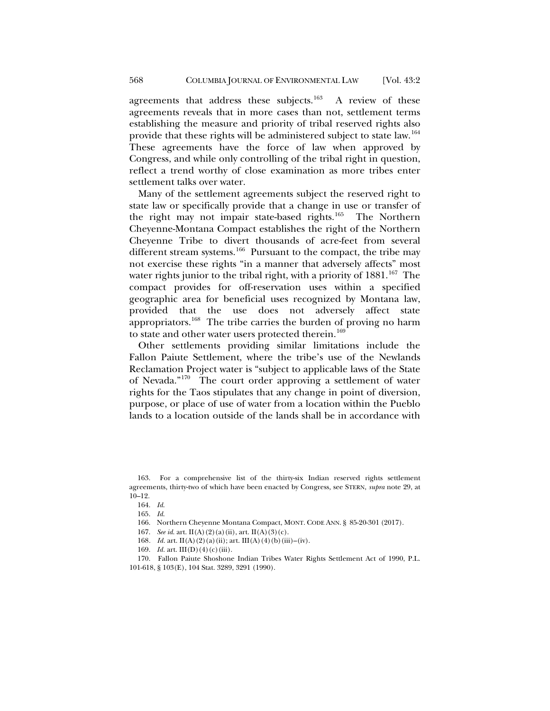agreements that address these subjects. $163$  A review of these agreements reveals that in more cases than not, settlement terms establishing the measure and priority of tribal reserved rights also provide that these rights will be administered subject to state law.<sup>[164](#page-35-2)</sup> These agreements have the force of law when approved by Congress, and while only controlling of the tribal right in question, reflect a trend worthy of close examination as more tribes enter settlement talks over water.

Many of the settlement agreements subject the reserved right to state law or specifically provide that a change in use or transfer of the right may not impair state-based rights.<sup>165</sup> The Northern Cheyenne-Montana Compact establishes the right of the Northern Cheyenne Tribe to divert thousands of acre-feet from several different stream systems.<sup>166</sup> Pursuant to the compact, the tribe may not exercise these rights "in a manner that adversely affects" most water rights junior to the tribal right, with a priority of  $1881$ .<sup>167</sup> The compact provides for off-reservation uses within a specified geographic area for beneficial uses recognized by Montana law, provided that the use does not adversely affect state appropriators.<sup>[168](#page-35-6)</sup> The tribe carries the burden of proving no harm to state and other water users protected therein.<sup>[169](#page-35-7)</sup>

Other settlements providing similar limitations include the Fallon Paiute Settlement, where the tribe's use of the Newlands Reclamation Project water is "subject to applicable laws of the State of Nevada."[170](#page-35-8) The court order approving a settlement of water rights for the Taos stipulates that any change in point of diversion, purpose, or place of use of water from a location within the Pueblo lands to a location outside of the lands shall be in accordance with

<span id="page-35-0"></span>

<span id="page-35-3"></span><span id="page-35-2"></span><span id="page-35-1"></span><sup>163.</sup> For a comprehensive list of the thirty-six Indian reserved rights settlement agreements, thirty-two of which have been enacted by Congress*,* see STERN, *supra* note [29,](#page-6-9) at 10–12.

<sup>164.</sup> *Id*.

<sup>165.</sup> *Id*.

<sup>166.</sup> Northern Cheyenne Montana Compact, MONT. CODE ANN. § 85-20-301 (2017).

<sup>167.</sup> *See id*. art. II(A)(2)(a)(ii), art. II(A)(3)(c).

<sup>168.</sup> *Id.* art. II(A)(2)(a)(ii); art. III(A)(4)(b)(iii)–(iv).

<sup>169.</sup> *Id.* art. III(D)(4)(c)(iii).

<span id="page-35-8"></span><span id="page-35-7"></span><span id="page-35-6"></span><span id="page-35-5"></span><span id="page-35-4"></span><sup>170.</sup> Fallon Paiute Shoshone Indian Tribes Water Rights Settlement Act of 1990, P.L. 101-618, § 103(E), 104 Stat. 3289, 3291 (1990).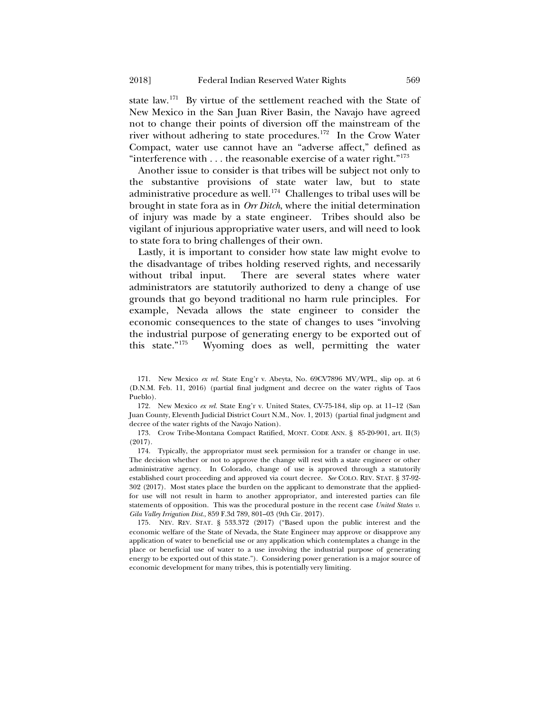state law.[171](#page-36-0) By virtue of the settlement reached with the State of New Mexico in the San Juan River Basin, the Navajo have agreed not to change their points of diversion off the mainstream of the river without adhering to state procedures.<sup>[172](#page-36-1)</sup> In the Crow Water Compact, water use cannot have an "adverse affect," defined as "interference with  $\dots$  the reasonable exercise of a water right."<sup>[173](#page-36-2)</sup>

Another issue to consider is that tribes will be subject not only to the substantive provisions of state water law, but to state administrative procedure as well.<sup>[174](#page-36-3)</sup> Challenges to tribal uses will be brought in state fora as in *Orr Ditch*, where the initial determination of injury was made by a state engineer. Tribes should also be vigilant of injurious appropriative water users, and will need to look to state fora to bring challenges of their own.

Lastly, it is important to consider how state law might evolve to the disadvantage of tribes holding reserved rights, and necessarily without tribal input. There are several states where water administrators are statutorily authorized to deny a change of use grounds that go beyond traditional no harm rule principles. For example, Nevada allows the state engineer to consider the economic consequences to the state of changes to uses "involving the industrial purpose of generating energy to be exported out of this state."<sup>175</sup> Wyoming does as well, permitting the water Wyoming does as well, permitting the water

<span id="page-36-3"></span>174. Typically, the appropriator must seek permission for a transfer or change in use. The decision whether or not to approve the change will rest with a state engineer or other administrative agency. In Colorado, change of use is approved through a statutorily established court proceeding and approved via court decree. *See* COLO. REV. STAT. § 37-92- 302 (2017). Most states place the burden on the applicant to demonstrate that the appliedfor use will not result in harm to another appropriator, and interested parties can file statements of opposition. This was the procedural posture in the recent case *United States v. Gila Valley Irrigation Dist*., 859 F.3d 789, 801–03 (9th Cir. 2017).

<span id="page-36-4"></span>175. NEV. REV. STAT. § 533.372 (2017) ("Based upon the public interest and the economic welfare of the State of Nevada, the State Engineer may approve or disapprove any application of water to beneficial use or any application which contemplates a change in the place or beneficial use of water to a use involving the industrial purpose of generating energy to be exported out of this state."). Considering power generation is a major source of economic development for many tribes, this is potentially very limiting.

<span id="page-36-0"></span><sup>171.</sup> New Mexico *ex rel.* State Eng'r v. Abeyta, No. 69CV7896 MV/WPL, slip op. at 6 (D.N.M. Feb. 11, 2016) (partial final judgment and decree on the water rights of Taos Pueblo).

<span id="page-36-1"></span><sup>172.</sup> New Mexico *ex rel.* State Eng'r v. United States, CV-75-184, slip op. at 11–12 (San Juan County, Eleventh Judicial District Court N.M., Nov. 1, 2013) (partial final judgment and decree of the water rights of the Navajo Nation).

<span id="page-36-2"></span><sup>173.</sup> Crow Tribe-Montana Compact Ratified, MONT. CODE ANN. § 85-20-901, art. II(3) (2017).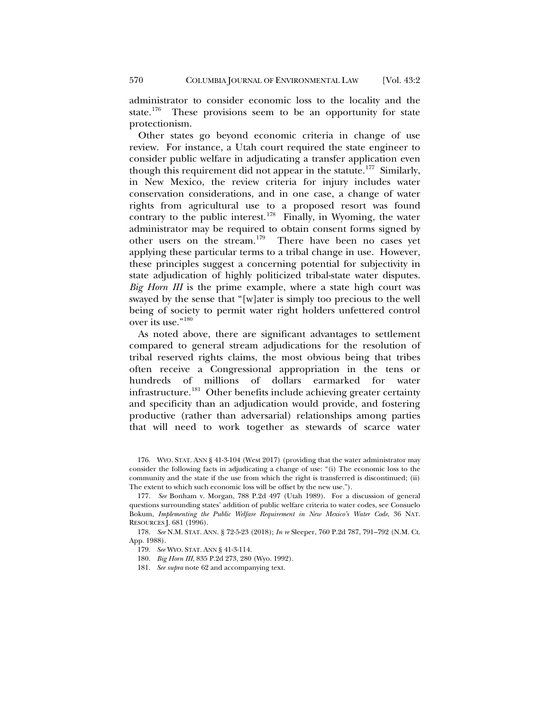administrator to consider economic loss to the locality and the state.<sup>[176](#page-37-1)</sup> These provisions seem to be an opportunity for state protectionism.

Other states go beyond economic criteria in change of use review. For instance, a Utah court required the state engineer to consider public welfare in adjudicating a transfer application even though this requirement did not appear in the statute.<sup>[177](#page-37-2)</sup> Similarly, in New Mexico, the review criteria for injury includes water conservation considerations, and in one case, a change of water rights from agricultural use to a proposed resort was found contrary to the public interest.<sup>178</sup> Finally, in Wyoming, the water administrator may be required to obtain consent forms signed by other users on the stream.[179](#page-37-4) There have been no cases yet applying these particular terms to a tribal change in use. However, these principles suggest a concerning potential for subjectivity in state adjudication of highly politicized tribal-state water disputes. *Big Horn III* is the prime example, where a state high court was swayed by the sense that "[w]ater is simply too precious to the well being of society to permit water right holders unfettered control over its use."[180](#page-37-5)

<span id="page-37-0"></span>As noted above, there are significant advantages to settlement compared to general stream adjudications for the resolution of tribal reserved rights claims, the most obvious being that tribes often receive a Congressional appropriation in the tens or hundreds of millions of dollars earmarked for water infrastructure.<sup>[181](#page-37-6)</sup> Other benefits include achieving greater certainty and specificity than an adjudication would provide, and fostering productive (rather than adversarial) relationships among parties that will need to work together as stewards of scarce water

<span id="page-37-1"></span>176. WYO. STAT. ANN § 41-3-104 (West 2017) (providing that the water administrator may consider the following facts in adjudicating a change of use: "(i) The economic loss to the community and the state if the use from which the right is transferred is discontinued; (ii) The extent to which such economic loss will be offset by the new use.").

<span id="page-37-2"></span><sup>177.</sup> *See* Bonham v. Morgan, 788 P.2d 497 (Utah 1989). For a discussion of general questions surrounding states' addition of public welfare criteria to water codes, see Consuelo Bokum, *Implementing the Public Welfare Requirement in New Mexico's Water Code*, 36 NAT. RESOURCES J. 681 (1996).

<span id="page-37-6"></span><span id="page-37-5"></span><span id="page-37-4"></span><span id="page-37-3"></span><sup>178.</sup> *See* N.M. STAT. ANN. § 72-5-23 (2018); *In re* Sleeper, 760 P.2d 787, 791–792 (N.M. Ct. App. 1988).

<sup>179.</sup> *See* WYO. STAT. ANN § 41-3-114.

<sup>180.</sup> *Big Horn III*, 835 P.2d 273, 280 (Wyo. 1992).

<sup>181.</sup> *See supra* note [62](#page-13-4) and accompanying text.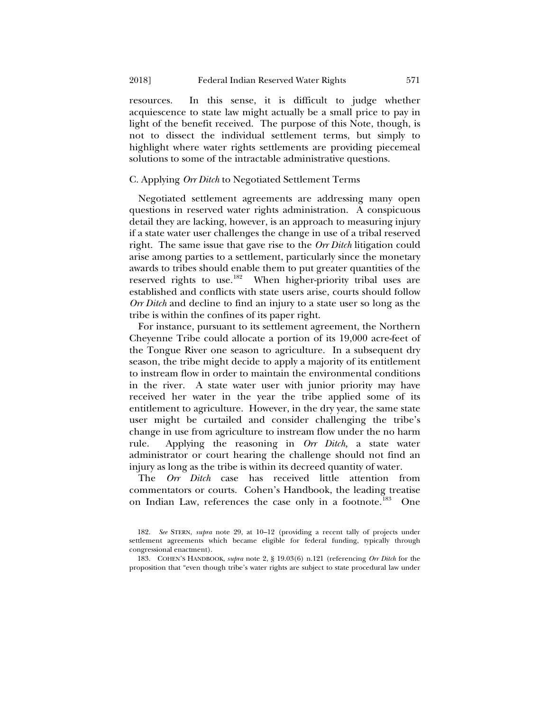resources. In this sense, it is difficult to judge whether acquiescence to state law might actually be a small price to pay in light of the benefit received. The purpose of this Note, though, is not to dissect the individual settlement terms, but simply to highlight where water rights settlements are providing piecemeal solutions to some of the intractable administrative questions.

## C. Applying *Orr Ditch* to Negotiated Settlement Terms

Negotiated settlement agreements are addressing many open questions in reserved water rights administration. A conspicuous detail they are lacking, however, is an approach to measuring injury if a state water user challenges the change in use of a tribal reserved right. The same issue that gave rise to the *Orr Ditch* litigation could arise among parties to a settlement, particularly since the monetary awards to tribes should enable them to put greater quantities of the reserved rights to use.<sup>182</sup> When higher-priority tribal uses are established and conflicts with state users arise, courts should follow *Orr Ditch* and decline to find an injury to a state user so long as the tribe is within the confines of its paper right.

For instance, pursuant to its settlement agreement, the Northern Cheyenne Tribe could allocate a portion of its 19,000 acre-feet of the Tongue River one season to agriculture. In a subsequent dry season, the tribe might decide to apply a majority of its entitlement to instream flow in order to maintain the environmental conditions in the river. A state water user with junior priority may have received her water in the year the tribe applied some of its entitlement to agriculture. However, in the dry year, the same state user might be curtailed and consider challenging the tribe's change in use from agriculture to instream flow under the no harm rule. Applying the reasoning in *Orr Ditch,* a state water administrator or court hearing the challenge should not find an injury as long as the tribe is within its decreed quantity of water.

The *Orr Ditch* case has received little attention from commentators or courts. Cohen's Handbook, the leading treatise on Indian Law, references the case only in a footnote.<sup>183</sup> One

<span id="page-38-0"></span><sup>182.</sup> *See* STERN, *supra* note [29,](#page-6-9) at 10–12 (providing a recent tally of projects under settlement agreements which became eligible for federal funding, typically through congressional enactment).

<span id="page-38-1"></span><sup>183.</sup> COHEN'S HANDBOOK, *supra* note [2,](#page-1-7) § 19.03(6) n.121 (referencing *Orr Ditch* for the proposition that "even though tribe's water rights are subject to state procedural law under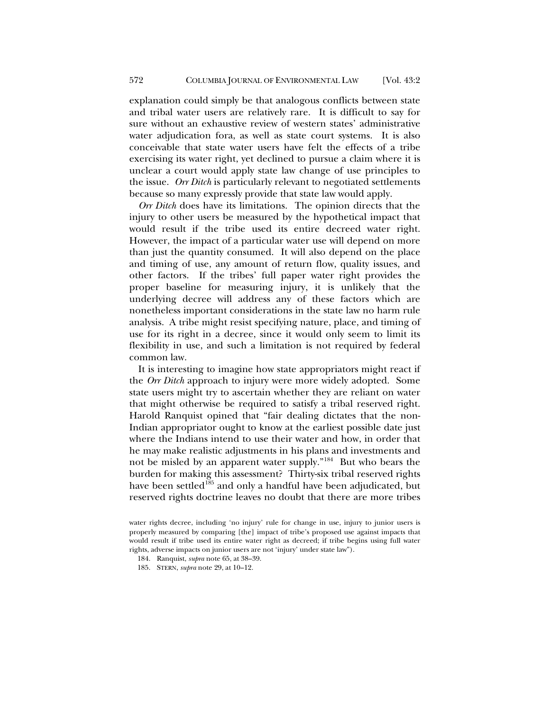explanation could simply be that analogous conflicts between state and tribal water users are relatively rare. It is difficult to say for sure without an exhaustive review of western states' administrative water adjudication fora, as well as state court systems. It is also conceivable that state water users have felt the effects of a tribe exercising its water right, yet declined to pursue a claim where it is unclear a court would apply state law change of use principles to the issue. *Orr Ditch* is particularly relevant to negotiated settlements because so many expressly provide that state law would apply.

*Orr Ditch* does have its limitations. The opinion directs that the injury to other users be measured by the hypothetical impact that would result if the tribe used its entire decreed water right. However, the impact of a particular water use will depend on more than just the quantity consumed. It will also depend on the place and timing of use, any amount of return flow, quality issues, and other factors. If the tribes' full paper water right provides the proper baseline for measuring injury, it is unlikely that the underlying decree will address any of these factors which are nonetheless important considerations in the state law no harm rule analysis. A tribe might resist specifying nature, place, and timing of use for its right in a decree, since it would only seem to limit its flexibility in use, and such a limitation is not required by federal common law.

It is interesting to imagine how state appropriators might react if the *Orr Ditch* approach to injury were more widely adopted. Some state users might try to ascertain whether they are reliant on water that might otherwise be required to satisfy a tribal reserved right. Harold Ranquist opined that "fair dealing dictates that the non-Indian appropriator ought to know at the earliest possible date just where the Indians intend to use their water and how, in order that he may make realistic adjustments in his plans and investments and not be misled by an apparent water supply."[184](#page-39-0) But who bears the burden for making this assessment? Thirty-six tribal reserved rights have been settled<sup>185</sup> and only a handful have been adjudicated, but reserved rights doctrine leaves no doubt that there are more tribes

<span id="page-39-1"></span><span id="page-39-0"></span>water rights decree, including 'no injury' rule for change in use, injury to junior users is properly measured by comparing [the] impact of tribe's proposed use against impacts that would result if tribe used its entire water right as decreed; if tribe begins using full water rights, adverse impacts on junior users are not 'injury' under state law").

<sup>184.</sup> Ranquist, *supra* not[e 65,](#page-14-0) at 38–39.

<sup>185.</sup> STERN, *supra* not[e 29,](#page-6-9) at 10–12.